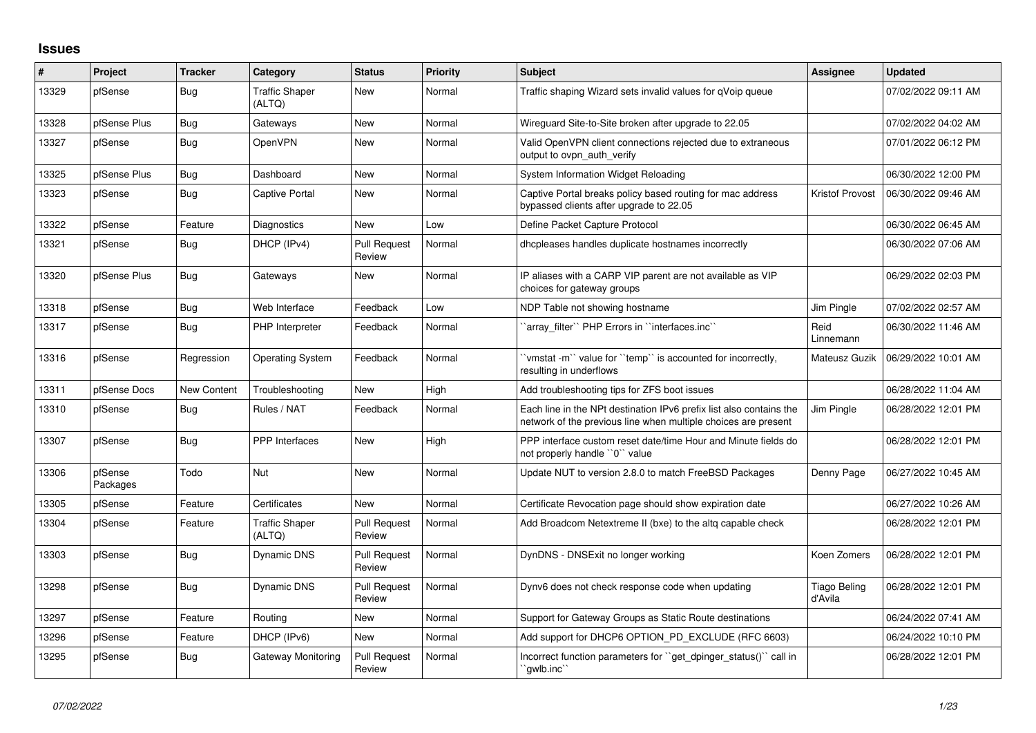## **Issues**

| $\#$  | <b>Project</b>      | <b>Tracker</b>     | Category                        | <b>Status</b>                 | <b>Priority</b> | <b>Subject</b>                                                                                                                        | <b>Assignee</b>         | <b>Updated</b>      |
|-------|---------------------|--------------------|---------------------------------|-------------------------------|-----------------|---------------------------------------------------------------------------------------------------------------------------------------|-------------------------|---------------------|
| 13329 | pfSense             | Bug                | <b>Traffic Shaper</b><br>(ALTQ) | <b>New</b>                    | Normal          | Traffic shaping Wizard sets invalid values for qVoip queue                                                                            |                         | 07/02/2022 09:11 AM |
| 13328 | pfSense Plus        | <b>Bug</b>         | Gateways                        | New                           | Normal          | Wireguard Site-to-Site broken after upgrade to 22.05                                                                                  |                         | 07/02/2022 04:02 AM |
| 13327 | pfSense             | <b>Bug</b>         | OpenVPN                         | <b>New</b>                    | Normal          | Valid OpenVPN client connections rejected due to extraneous<br>output to ovpn auth verify                                             |                         | 07/01/2022 06:12 PM |
| 13325 | pfSense Plus        | Bug                | Dashboard                       | <b>New</b>                    | Normal          | System Information Widget Reloading                                                                                                   |                         | 06/30/2022 12:00 PM |
| 13323 | pfSense             | <b>Bug</b>         | <b>Captive Portal</b>           | New                           | Normal          | Captive Portal breaks policy based routing for mac address<br>bypassed clients after upgrade to 22.05                                 | Kristof Provost         | 06/30/2022 09:46 AM |
| 13322 | pfSense             | Feature            | Diagnostics                     | <b>New</b>                    | Low             | Define Packet Capture Protocol                                                                                                        |                         | 06/30/2022 06:45 AM |
| 13321 | pfSense             | <b>Bug</b>         | DHCP (IPv4)                     | <b>Pull Request</b><br>Review | Normal          | dhcpleases handles duplicate hostnames incorrectly                                                                                    |                         | 06/30/2022 07:06 AM |
| 13320 | pfSense Plus        | <b>Bug</b>         | Gateways                        | <b>New</b>                    | Normal          | IP aliases with a CARP VIP parent are not available as VIP<br>choices for gateway groups                                              |                         | 06/29/2022 02:03 PM |
| 13318 | pfSense             | <b>Bug</b>         | Web Interface                   | Feedback                      | Low             | NDP Table not showing hostname                                                                                                        | Jim Pingle              | 07/02/2022 02:57 AM |
| 13317 | pfSense             | <b>Bug</b>         | PHP Interpreter                 | Feedback                      | Normal          | `array filter`` PHP Errors in ``interfaces.inc``                                                                                      | Reid<br>Linnemann       | 06/30/2022 11:46 AM |
| 13316 | pfSense             | Regression         | <b>Operating System</b>         | Feedback                      | Normal          | 'vmstat -m'` value for ''temp'' is accounted for incorrectly,<br>resulting in underflows                                              | Mateusz Guzik           | 06/29/2022 10:01 AM |
| 13311 | pfSense Docs        | <b>New Content</b> | Troubleshooting                 | <b>New</b>                    | High            | Add troubleshooting tips for ZFS boot issues                                                                                          |                         | 06/28/2022 11:04 AM |
| 13310 | pfSense             | <b>Bug</b>         | Rules / NAT                     | Feedback                      | Normal          | Each line in the NPt destination IPv6 prefix list also contains the<br>network of the previous line when multiple choices are present | Jim Pingle              | 06/28/2022 12:01 PM |
| 13307 | pfSense             | Bug                | <b>PPP</b> Interfaces           | New                           | High            | PPP interface custom reset date/time Hour and Minute fields do<br>not properly handle "0" value                                       |                         | 06/28/2022 12:01 PM |
| 13306 | pfSense<br>Packages | Todo               | <b>Nut</b>                      | <b>New</b>                    | Normal          | Update NUT to version 2.8.0 to match FreeBSD Packages                                                                                 | Denny Page              | 06/27/2022 10:45 AM |
| 13305 | pfSense             | Feature            | Certificates                    | <b>New</b>                    | Normal          | Certificate Revocation page should show expiration date                                                                               |                         | 06/27/2022 10:26 AM |
| 13304 | pfSense             | Feature            | <b>Traffic Shaper</b><br>(ALTQ) | <b>Pull Request</b><br>Review | Normal          | Add Broadcom Netextreme II (bxe) to the altg capable check                                                                            |                         | 06/28/2022 12:01 PM |
| 13303 | pfSense             | <b>Bug</b>         | Dynamic DNS                     | <b>Pull Request</b><br>Review | Normal          | DynDNS - DNSExit no longer working                                                                                                    | Koen Zomers             | 06/28/2022 12:01 PM |
| 13298 | pfSense             | <b>Bug</b>         | Dynamic DNS                     | <b>Pull Request</b><br>Review | Normal          | Dynv6 does not check response code when updating                                                                                      | Tiago Beling<br>d'Avila | 06/28/2022 12:01 PM |
| 13297 | pfSense             | Feature            | Routing                         | <b>New</b>                    | Normal          | Support for Gateway Groups as Static Route destinations                                                                               |                         | 06/24/2022 07:41 AM |
| 13296 | pfSense             | Feature            | DHCP (IPv6)                     | New                           | Normal          | Add support for DHCP6 OPTION PD EXCLUDE (RFC 6603)                                                                                    |                         | 06/24/2022 10:10 PM |
| 13295 | pfSense             | <b>Bug</b>         | Gateway Monitoring              | <b>Pull Request</b><br>Review | Normal          | Incorrect function parameters for "get dpinger status()" call in<br>`qwlb.inc``                                                       |                         | 06/28/2022 12:01 PM |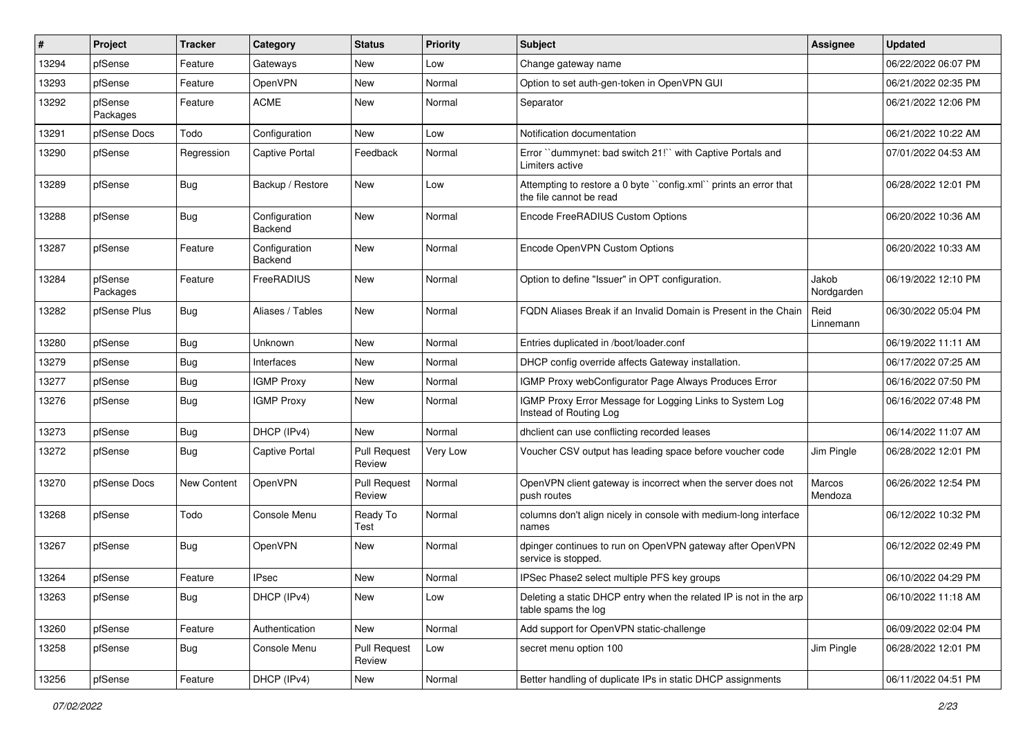| ∦     | Project             | <b>Tracker</b> | Category                 | <b>Status</b>                 | <b>Priority</b> | <b>Subject</b>                                                                              | Assignee            | <b>Updated</b>      |
|-------|---------------------|----------------|--------------------------|-------------------------------|-----------------|---------------------------------------------------------------------------------------------|---------------------|---------------------|
| 13294 | pfSense             | Feature        | Gateways                 | New                           | Low             | Change gateway name                                                                         |                     | 06/22/2022 06:07 PM |
| 13293 | pfSense             | Feature        | OpenVPN                  | <b>New</b>                    | Normal          | Option to set auth-gen-token in OpenVPN GUI                                                 |                     | 06/21/2022 02:35 PM |
| 13292 | pfSense<br>Packages | Feature        | <b>ACME</b>              | New                           | Normal          | Separator                                                                                   |                     | 06/21/2022 12:06 PM |
| 13291 | pfSense Docs        | Todo           | Configuration            | New                           | Low             | Notification documentation                                                                  |                     | 06/21/2022 10:22 AM |
| 13290 | pfSense             | Regression     | <b>Captive Portal</b>    | Feedback                      | Normal          | Error "dummynet: bad switch 21!" with Captive Portals and<br>Limiters active                |                     | 07/01/2022 04:53 AM |
| 13289 | pfSense             | Bug            | Backup / Restore         | <b>New</b>                    | Low             | Attempting to restore a 0 byte "config.xml" prints an error that<br>the file cannot be read |                     | 06/28/2022 12:01 PM |
| 13288 | pfSense             | Bug            | Configuration<br>Backend | <b>New</b>                    | Normal          | Encode FreeRADIUS Custom Options                                                            |                     | 06/20/2022 10:36 AM |
| 13287 | pfSense             | Feature        | Configuration<br>Backend | New                           | Normal          | Encode OpenVPN Custom Options                                                               |                     | 06/20/2022 10:33 AM |
| 13284 | pfSense<br>Packages | Feature        | FreeRADIUS               | New                           | Normal          | Option to define "Issuer" in OPT configuration.                                             | Jakob<br>Nordgarden | 06/19/2022 12:10 PM |
| 13282 | pfSense Plus        | Bug            | Aliases / Tables         | <b>New</b>                    | Normal          | FQDN Aliases Break if an Invalid Domain is Present in the Chain                             | Reid<br>Linnemann   | 06/30/2022 05:04 PM |
| 13280 | pfSense             | Bug            | Unknown                  | <b>New</b>                    | Normal          | Entries duplicated in /boot/loader.conf                                                     |                     | 06/19/2022 11:11 AM |
| 13279 | pfSense             | <b>Bug</b>     | Interfaces               | <b>New</b>                    | Normal          | DHCP config override affects Gateway installation.                                          |                     | 06/17/2022 07:25 AM |
| 13277 | pfSense             | Bug            | <b>IGMP Proxy</b>        | New                           | Normal          | IGMP Proxy webConfigurator Page Always Produces Error                                       |                     | 06/16/2022 07:50 PM |
| 13276 | pfSense             | Bug            | <b>IGMP Proxy</b>        | New                           | Normal          | IGMP Proxy Error Message for Logging Links to System Log<br>Instead of Routing Log          |                     | 06/16/2022 07:48 PM |
| 13273 | pfSense             | <b>Bug</b>     | DHCP (IPv4)              | New                           | Normal          | dhclient can use conflicting recorded leases                                                |                     | 06/14/2022 11:07 AM |
| 13272 | pfSense             | Bug            | <b>Captive Portal</b>    | <b>Pull Request</b><br>Review | Very Low        | Voucher CSV output has leading space before voucher code                                    | Jim Pingle          | 06/28/2022 12:01 PM |
| 13270 | pfSense Docs        | New Content    | OpenVPN                  | <b>Pull Request</b><br>Review | Normal          | OpenVPN client gateway is incorrect when the server does not<br>push routes                 | Marcos<br>Mendoza   | 06/26/2022 12:54 PM |
| 13268 | pfSense             | Todo           | Console Menu             | Ready To<br>Test              | Normal          | columns don't align nicely in console with medium-long interface<br>names                   |                     | 06/12/2022 10:32 PM |
| 13267 | pfSense             | Bug            | OpenVPN                  | New                           | Normal          | dpinger continues to run on OpenVPN gateway after OpenVPN<br>service is stopped.            |                     | 06/12/2022 02:49 PM |
| 13264 | pfSense             | Feature        | <b>IPsec</b>             | New                           | Normal          | IPSec Phase2 select multiple PFS key groups                                                 |                     | 06/10/2022 04:29 PM |
| 13263 | pfSense             | Bug            | DHCP (IPv4)              | New                           | Low             | Deleting a static DHCP entry when the related IP is not in the arp<br>table spams the log   |                     | 06/10/2022 11:18 AM |
| 13260 | pfSense             | Feature        | Authentication           | New                           | Normal          | Add support for OpenVPN static-challenge                                                    |                     | 06/09/2022 02:04 PM |
| 13258 | pfSense             | <b>Bug</b>     | Console Menu             | <b>Pull Request</b><br>Review | Low             | secret menu option 100                                                                      | Jim Pingle          | 06/28/2022 12:01 PM |
| 13256 | pfSense             | Feature        | DHCP (IPv4)              | New                           | Normal          | Better handling of duplicate IPs in static DHCP assignments                                 |                     | 06/11/2022 04:51 PM |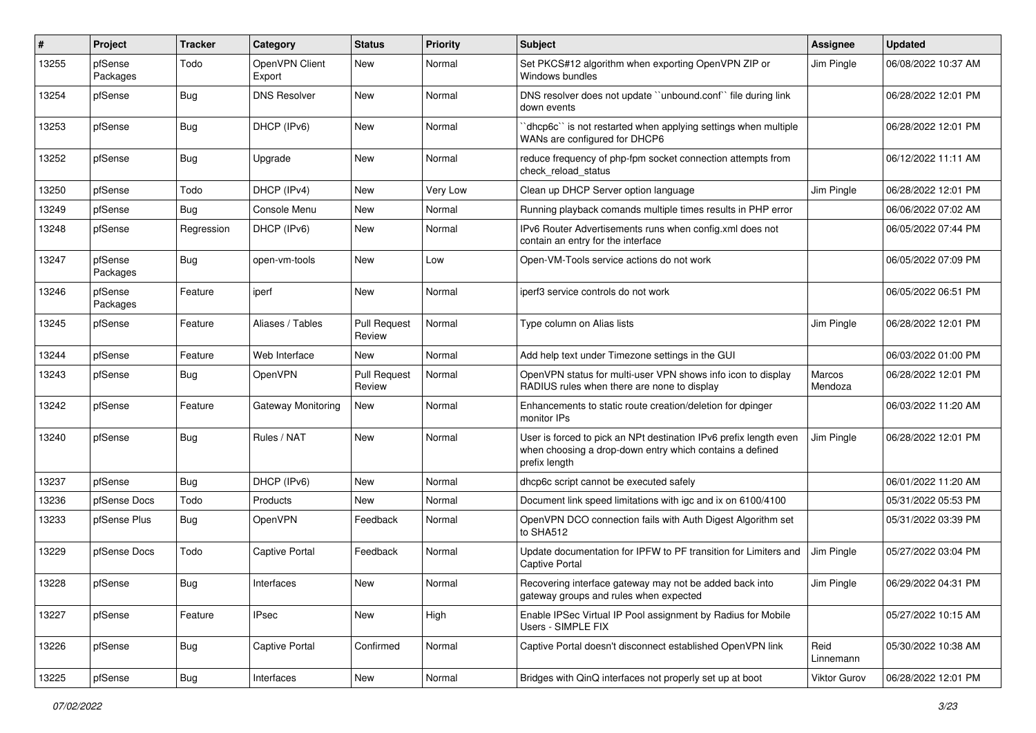| ∦     | Project             | Tracker    | Category                 | <b>Status</b>                 | Priority        | Subject                                                                                                                                        | <b>Assignee</b>     | <b>Updated</b>      |
|-------|---------------------|------------|--------------------------|-------------------------------|-----------------|------------------------------------------------------------------------------------------------------------------------------------------------|---------------------|---------------------|
| 13255 | pfSense<br>Packages | Todo       | OpenVPN Client<br>Export | New                           | Normal          | Set PKCS#12 algorithm when exporting OpenVPN ZIP or<br>Windows bundles                                                                         | Jim Pingle          | 06/08/2022 10:37 AM |
| 13254 | pfSense             | Bug        | <b>DNS Resolver</b>      | New                           | Normal          | DNS resolver does not update "unbound.conf" file during link<br>down events                                                                    |                     | 06/28/2022 12:01 PM |
| 13253 | pfSense             | Bug        | DHCP (IPv6)              | New                           | Normal          | 'dhcp6c' is not restarted when applying settings when multiple<br>WANs are configured for DHCP6                                                |                     | 06/28/2022 12:01 PM |
| 13252 | pfSense             | Bug        | Upgrade                  | New                           | Normal          | reduce frequency of php-fpm socket connection attempts from<br>check_reload_status                                                             |                     | 06/12/2022 11:11 AM |
| 13250 | pfSense             | Todo       | DHCP (IPv4)              | New                           | <b>Very Low</b> | Clean up DHCP Server option language                                                                                                           | Jim Pingle          | 06/28/2022 12:01 PM |
| 13249 | pfSense             | Bug        | Console Menu             | New                           | Normal          | Running playback comands multiple times results in PHP error                                                                                   |                     | 06/06/2022 07:02 AM |
| 13248 | pfSense             | Regression | DHCP (IPv6)              | New                           | Normal          | IPv6 Router Advertisements runs when config.xml does not<br>contain an entry for the interface                                                 |                     | 06/05/2022 07:44 PM |
| 13247 | pfSense<br>Packages | Bug        | open-vm-tools            | New                           | Low             | Open-VM-Tools service actions do not work                                                                                                      |                     | 06/05/2022 07:09 PM |
| 13246 | pfSense<br>Packages | Feature    | iperf                    | New                           | Normal          | iperf3 service controls do not work                                                                                                            |                     | 06/05/2022 06:51 PM |
| 13245 | pfSense             | Feature    | Aliases / Tables         | <b>Pull Request</b><br>Review | Normal          | Type column on Alias lists                                                                                                                     | Jim Pingle          | 06/28/2022 12:01 PM |
| 13244 | pfSense             | Feature    | Web Interface            | <b>New</b>                    | Normal          | Add help text under Timezone settings in the GUI                                                                                               |                     | 06/03/2022 01:00 PM |
| 13243 | pfSense             | Bug        | OpenVPN                  | <b>Pull Request</b><br>Review | Normal          | OpenVPN status for multi-user VPN shows info icon to display<br>RADIUS rules when there are none to display                                    | Marcos<br>Mendoza   | 06/28/2022 12:01 PM |
| 13242 | pfSense             | Feature    | Gateway Monitoring       | New                           | Normal          | Enhancements to static route creation/deletion for dpinger<br>monitor IPs                                                                      |                     | 06/03/2022 11:20 AM |
| 13240 | pfSense             | Bug        | Rules / NAT              | New                           | Normal          | User is forced to pick an NPt destination IPv6 prefix length even<br>when choosing a drop-down entry which contains a defined<br>prefix length | Jim Pingle          | 06/28/2022 12:01 PM |
| 13237 | pfSense             | Bug        | DHCP (IPv6)              | New                           | Normal          | dhcp6c script cannot be executed safely                                                                                                        |                     | 06/01/2022 11:20 AM |
| 13236 | pfSense Docs        | Todo       | Products                 | New                           | Normal          | Document link speed limitations with igc and ix on 6100/4100                                                                                   |                     | 05/31/2022 05:53 PM |
| 13233 | pfSense Plus        | <b>Bug</b> | OpenVPN                  | Feedback                      | Normal          | OpenVPN DCO connection fails with Auth Digest Algorithm set<br>to SHA512                                                                       |                     | 05/31/2022 03:39 PM |
| 13229 | pfSense Docs        | Todo       | <b>Captive Portal</b>    | Feedback                      | Normal          | Update documentation for IPFW to PF transition for Limiters and<br><b>Captive Portal</b>                                                       | Jim Pingle          | 05/27/2022 03:04 PM |
| 13228 | pfSense             | <b>Bug</b> | Interfaces               | New                           | Normal          | Recovering interface gateway may not be added back into<br>gateway groups and rules when expected                                              | Jim Pingle          | 06/29/2022 04:31 PM |
| 13227 | pfSense             | Feature    | <b>IPsec</b>             | New                           | High            | Enable IPSec Virtual IP Pool assignment by Radius for Mobile<br>Users - SIMPLE FIX                                                             |                     | 05/27/2022 10:15 AM |
| 13226 | pfSense             | Bug        | <b>Captive Portal</b>    | Confirmed                     | Normal          | Captive Portal doesn't disconnect established OpenVPN link                                                                                     | Reid<br>Linnemann   | 05/30/2022 10:38 AM |
| 13225 | pfSense             | Bug        | Interfaces               | New                           | Normal          | Bridges with QinQ interfaces not properly set up at boot                                                                                       | <b>Viktor Gurov</b> | 06/28/2022 12:01 PM |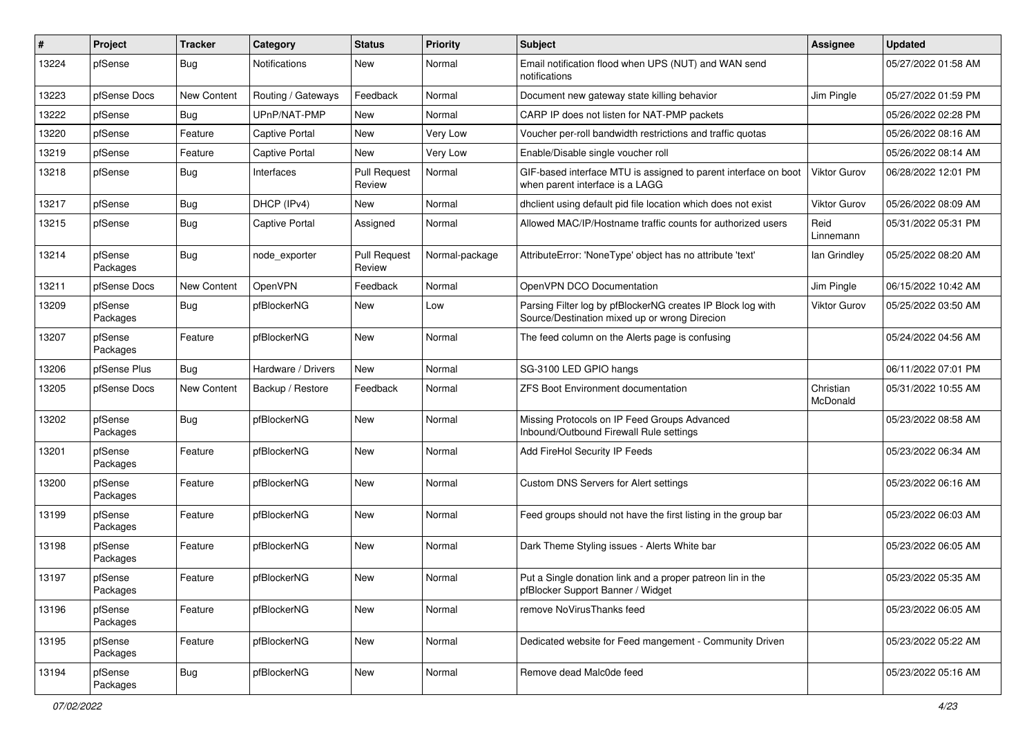| #     | Project             | <b>Tracker</b>     | Category              | <b>Status</b>                 | <b>Priority</b> | Subject                                                                                                      | <b>Assignee</b>       | <b>Updated</b>      |
|-------|---------------------|--------------------|-----------------------|-------------------------------|-----------------|--------------------------------------------------------------------------------------------------------------|-----------------------|---------------------|
| 13224 | pfSense             | Bug                | <b>Notifications</b>  | New                           | Normal          | Email notification flood when UPS (NUT) and WAN send<br>notifications                                        |                       | 05/27/2022 01:58 AM |
| 13223 | pfSense Docs        | <b>New Content</b> | Routing / Gateways    | Feedback                      | Normal          | Document new gateway state killing behavior                                                                  | Jim Pingle            | 05/27/2022 01:59 PM |
| 13222 | pfSense             | Bug                | UPnP/NAT-PMP          | <b>New</b>                    | Normal          | CARP IP does not listen for NAT-PMP packets                                                                  |                       | 05/26/2022 02:28 PM |
| 13220 | pfSense             | Feature            | <b>Captive Portal</b> | <b>New</b>                    | Very Low        | Voucher per-roll bandwidth restrictions and traffic quotas                                                   |                       | 05/26/2022 08:16 AM |
| 13219 | pfSense             | Feature            | Captive Portal        | New                           | Very Low        | Enable/Disable single voucher roll                                                                           |                       | 05/26/2022 08:14 AM |
| 13218 | pfSense             | <b>Bug</b>         | Interfaces            | <b>Pull Request</b><br>Review | Normal          | GIF-based interface MTU is assigned to parent interface on boot<br>when parent interface is a LAGG           | <b>Viktor Gurov</b>   | 06/28/2022 12:01 PM |
| 13217 | pfSense             | Bug                | DHCP (IPv4)           | New                           | Normal          | dhclient using default pid file location which does not exist                                                | Viktor Gurov          | 05/26/2022 08:09 AM |
| 13215 | pfSense             | Bug                | Captive Portal        | Assigned                      | Normal          | Allowed MAC/IP/Hostname traffic counts for authorized users                                                  | Reid<br>Linnemann     | 05/31/2022 05:31 PM |
| 13214 | pfSense<br>Packages | Bug                | node_exporter         | <b>Pull Request</b><br>Review | Normal-package  | AttributeError: 'NoneType' object has no attribute 'text'                                                    | lan Grindley          | 05/25/2022 08:20 AM |
| 13211 | pfSense Docs        | <b>New Content</b> | OpenVPN               | Feedback                      | Normal          | OpenVPN DCO Documentation                                                                                    | Jim Pingle            | 06/15/2022 10:42 AM |
| 13209 | pfSense<br>Packages | Bug                | pfBlockerNG           | New                           | Low             | Parsing Filter log by pfBlockerNG creates IP Block log with<br>Source/Destination mixed up or wrong Direcion | Viktor Gurov          | 05/25/2022 03:50 AM |
| 13207 | pfSense<br>Packages | Feature            | pfBlockerNG           | New                           | Normal          | The feed column on the Alerts page is confusing                                                              |                       | 05/24/2022 04:56 AM |
| 13206 | pfSense Plus        | <b>Bug</b>         | Hardware / Drivers    | New                           | Normal          | SG-3100 LED GPIO hangs                                                                                       |                       | 06/11/2022 07:01 PM |
| 13205 | pfSense Docs        | New Content        | Backup / Restore      | Feedback                      | Normal          | <b>ZFS Boot Environment documentation</b>                                                                    | Christian<br>McDonald | 05/31/2022 10:55 AM |
| 13202 | pfSense<br>Packages | Bug                | pfBlockerNG           | New                           | Normal          | Missing Protocols on IP Feed Groups Advanced<br>Inbound/Outbound Firewall Rule settings                      |                       | 05/23/2022 08:58 AM |
| 13201 | pfSense<br>Packages | Feature            | pfBlockerNG           | <b>New</b>                    | Normal          | Add FireHol Security IP Feeds                                                                                |                       | 05/23/2022 06:34 AM |
| 13200 | pfSense<br>Packages | Feature            | pfBlockerNG           | New                           | Normal          | <b>Custom DNS Servers for Alert settings</b>                                                                 |                       | 05/23/2022 06:16 AM |
| 13199 | pfSense<br>Packages | Feature            | pfBlockerNG           | New                           | Normal          | Feed groups should not have the first listing in the group bar                                               |                       | 05/23/2022 06:03 AM |
| 13198 | pfSense<br>Packages | Feature            | pfBlockerNG           | <b>New</b>                    | Normal          | Dark Theme Styling issues - Alerts White bar                                                                 |                       | 05/23/2022 06:05 AM |
| 13197 | pfSense<br>Packages | Feature            | pfBlockerNG           | New                           | Normal          | Put a Single donation link and a proper patreon lin in the<br>pfBlocker Support Banner / Widget              |                       | 05/23/2022 05:35 AM |
| 13196 | pfSense<br>Packages | Feature            | pfBlockerNG           | New                           | Normal          | remove NoVirusThanks feed                                                                                    |                       | 05/23/2022 06:05 AM |
| 13195 | pfSense<br>Packages | Feature            | pfBlockerNG           | New                           | Normal          | Dedicated website for Feed mangement - Community Driven                                                      |                       | 05/23/2022 05:22 AM |
| 13194 | pfSense<br>Packages | Bug                | pfBlockerNG           | New                           | Normal          | Remove dead Malc0de feed                                                                                     |                       | 05/23/2022 05:16 AM |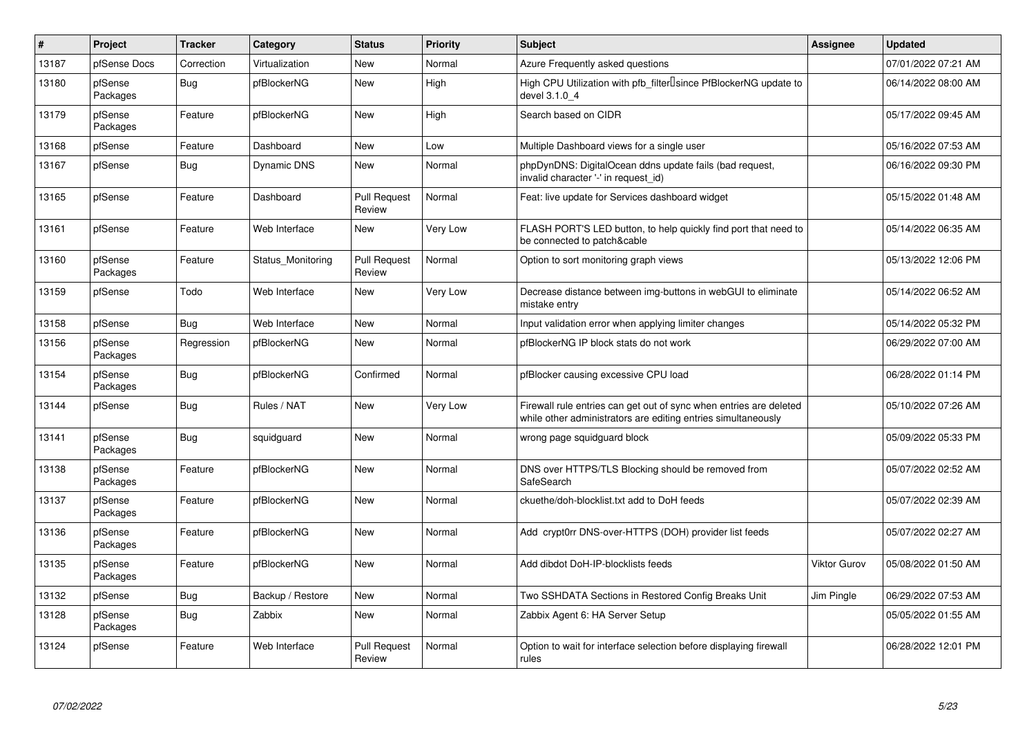| #     | Project             | <b>Tracker</b> | Category          | <b>Status</b>                 | Priority | <b>Subject</b>                                                                                                                      | Assignee            | <b>Updated</b>      |
|-------|---------------------|----------------|-------------------|-------------------------------|----------|-------------------------------------------------------------------------------------------------------------------------------------|---------------------|---------------------|
| 13187 | pfSense Docs        | Correction     | Virtualization    | New                           | Normal   | Azure Frequently asked questions                                                                                                    |                     | 07/01/2022 07:21 AM |
| 13180 | pfSense<br>Packages | Bug            | pfBlockerNG       | New                           | High     | High CPU Utilization with pfb filter Isince PfBlockerNG update to<br>devel 3.1.0 4                                                  |                     | 06/14/2022 08:00 AM |
| 13179 | pfSense<br>Packages | Feature        | pfBlockerNG       | New                           | High     | Search based on CIDR                                                                                                                |                     | 05/17/2022 09:45 AM |
| 13168 | pfSense             | Feature        | Dashboard         | New                           | Low      | Multiple Dashboard views for a single user                                                                                          |                     | 05/16/2022 07:53 AM |
| 13167 | pfSense             | <b>Bug</b>     | Dynamic DNS       | New                           | Normal   | phpDynDNS: DigitalOcean ddns update fails (bad request,<br>invalid character '-' in request id)                                     |                     | 06/16/2022 09:30 PM |
| 13165 | pfSense             | Feature        | Dashboard         | <b>Pull Request</b><br>Review | Normal   | Feat: live update for Services dashboard widget                                                                                     |                     | 05/15/2022 01:48 AM |
| 13161 | pfSense             | Feature        | Web Interface     | New                           | Very Low | FLASH PORT'S LED button, to help quickly find port that need to<br>be connected to patch&cable                                      |                     | 05/14/2022 06:35 AM |
| 13160 | pfSense<br>Packages | Feature        | Status Monitoring | <b>Pull Request</b><br>Review | Normal   | Option to sort monitoring graph views                                                                                               |                     | 05/13/2022 12:06 PM |
| 13159 | pfSense             | Todo           | Web Interface     | New                           | Very Low | Decrease distance between img-buttons in webGUI to eliminate<br>mistake entry                                                       |                     | 05/14/2022 06:52 AM |
| 13158 | pfSense             | Bug            | Web Interface     | New                           | Normal   | Input validation error when applying limiter changes                                                                                |                     | 05/14/2022 05:32 PM |
| 13156 | pfSense<br>Packages | Regression     | pfBlockerNG       | New                           | Normal   | pfBlockerNG IP block stats do not work                                                                                              |                     | 06/29/2022 07:00 AM |
| 13154 | pfSense<br>Packages | <b>Bug</b>     | pfBlockerNG       | Confirmed                     | Normal   | pfBlocker causing excessive CPU load                                                                                                |                     | 06/28/2022 01:14 PM |
| 13144 | pfSense             | <b>Bug</b>     | Rules / NAT       | New                           | Very Low | Firewall rule entries can get out of sync when entries are deleted<br>while other administrators are editing entries simultaneously |                     | 05/10/2022 07:26 AM |
| 13141 | pfSense<br>Packages | <b>Bug</b>     | squidguard        | <b>New</b>                    | Normal   | wrong page squidguard block                                                                                                         |                     | 05/09/2022 05:33 PM |
| 13138 | pfSense<br>Packages | Feature        | pfBlockerNG       | New                           | Normal   | DNS over HTTPS/TLS Blocking should be removed from<br>SafeSearch                                                                    |                     | 05/07/2022 02:52 AM |
| 13137 | pfSense<br>Packages | Feature        | pfBlockerNG       | New                           | Normal   | ckuethe/doh-blocklist.txt add to DoH feeds                                                                                          |                     | 05/07/2022 02:39 AM |
| 13136 | pfSense<br>Packages | Feature        | pfBlockerNG       | <b>New</b>                    | Normal   | Add crypt0rr DNS-over-HTTPS (DOH) provider list feeds                                                                               |                     | 05/07/2022 02:27 AM |
| 13135 | pfSense<br>Packages | Feature        | pfBlockerNG       | New                           | Normal   | Add dibdot DoH-IP-blocklists feeds                                                                                                  | <b>Viktor Gurov</b> | 05/08/2022 01:50 AM |
| 13132 | pfSense             | <b>Bug</b>     | Backup / Restore  | New                           | Normal   | Two SSHDATA Sections in Restored Config Breaks Unit                                                                                 | Jim Pingle          | 06/29/2022 07:53 AM |
| 13128 | pfSense<br>Packages | <b>Bug</b>     | Zabbix            | <b>New</b>                    | Normal   | Zabbix Agent 6: HA Server Setup                                                                                                     |                     | 05/05/2022 01:55 AM |
| 13124 | pfSense             | Feature        | Web Interface     | <b>Pull Request</b><br>Review | Normal   | Option to wait for interface selection before displaying firewall<br>rules                                                          |                     | 06/28/2022 12:01 PM |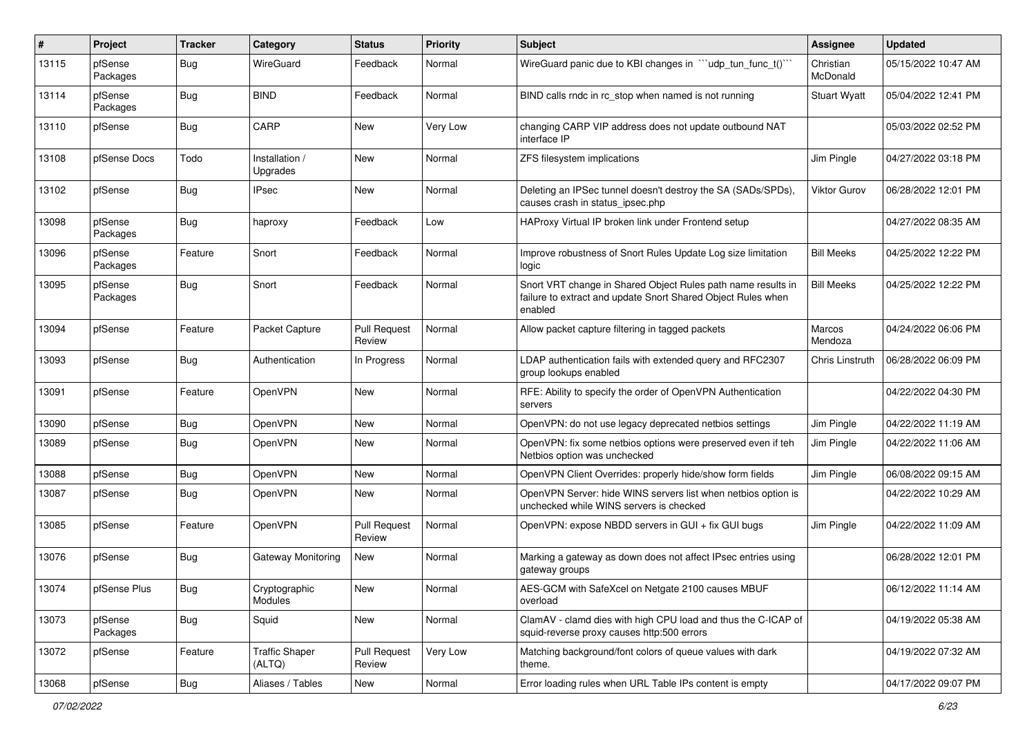| #     | Project             | <b>Tracker</b> | Category                        | <b>Status</b>                 | <b>Priority</b> | <b>Subject</b>                                                                                                                          | <b>Assignee</b>       | <b>Updated</b>      |
|-------|---------------------|----------------|---------------------------------|-------------------------------|-----------------|-----------------------------------------------------------------------------------------------------------------------------------------|-----------------------|---------------------|
| 13115 | pfSense<br>Packages | Bug            | WireGuard                       | Feedback                      | Normal          | WireGuard panic due to KBI changes in ""udp_tun_func_t()"                                                                               | Christian<br>McDonald | 05/15/2022 10:47 AM |
| 13114 | pfSense<br>Packages | Bug            | <b>BIND</b>                     | Feedback                      | Normal          | BIND calls rndc in rc stop when named is not running                                                                                    | <b>Stuart Wyatt</b>   | 05/04/2022 12:41 PM |
| 13110 | pfSense             | Bug            | CARP                            | <b>New</b>                    | Very Low        | changing CARP VIP address does not update outbound NAT<br>interface IP                                                                  |                       | 05/03/2022 02:52 PM |
| 13108 | pfSense Docs        | Todo           | Installation /<br>Upgrades      | <b>New</b>                    | Normal          | ZFS filesystem implications                                                                                                             | Jim Pingle            | 04/27/2022 03:18 PM |
| 13102 | pfSense             | Bug            | <b>IPsec</b>                    | New                           | Normal          | Deleting an IPSec tunnel doesn't destroy the SA (SADs/SPDs),<br>causes crash in status_ipsec.php                                        | Viktor Gurov          | 06/28/2022 12:01 PM |
| 13098 | pfSense<br>Packages | Bug            | haproxy                         | Feedback                      | Low             | HAProxy Virtual IP broken link under Frontend setup                                                                                     |                       | 04/27/2022 08:35 AM |
| 13096 | pfSense<br>Packages | Feature        | Snort                           | Feedback                      | Normal          | Improve robustness of Snort Rules Update Log size limitation<br>logic                                                                   | <b>Bill Meeks</b>     | 04/25/2022 12:22 PM |
| 13095 | pfSense<br>Packages | Bug            | Snort                           | Feedback                      | Normal          | Snort VRT change in Shared Object Rules path name results in<br>failure to extract and update Snort Shared Object Rules when<br>enabled | <b>Bill Meeks</b>     | 04/25/2022 12:22 PM |
| 13094 | pfSense             | Feature        | Packet Capture                  | <b>Pull Request</b><br>Review | Normal          | Allow packet capture filtering in tagged packets                                                                                        | Marcos<br>Mendoza     | 04/24/2022 06:06 PM |
| 13093 | pfSense             | Bug            | Authentication                  | In Progress                   | Normal          | LDAP authentication fails with extended query and RFC2307<br>group lookups enabled                                                      | Chris Linstruth       | 06/28/2022 06:09 PM |
| 13091 | pfSense             | Feature        | OpenVPN                         | <b>New</b>                    | Normal          | RFE: Ability to specify the order of OpenVPN Authentication<br>servers                                                                  |                       | 04/22/2022 04:30 PM |
| 13090 | pfSense             | Bug            | OpenVPN                         | <b>New</b>                    | Normal          | OpenVPN: do not use legacy deprecated netbios settings                                                                                  | Jim Pingle            | 04/22/2022 11:19 AM |
| 13089 | pfSense             | <b>Bug</b>     | OpenVPN                         | New                           | Normal          | OpenVPN: fix some netbios options were preserved even if teh<br>Netbios option was unchecked                                            | Jim Pingle            | 04/22/2022 11:06 AM |
| 13088 | pfSense             | Bug            | OpenVPN                         | <b>New</b>                    | Normal          | OpenVPN Client Overrides: properly hide/show form fields                                                                                | Jim Pingle            | 06/08/2022 09:15 AM |
| 13087 | pfSense             | Bug            | OpenVPN                         | New                           | Normal          | OpenVPN Server: hide WINS servers list when netbios option is<br>unchecked while WINS servers is checked                                |                       | 04/22/2022 10:29 AM |
| 13085 | pfSense             | Feature        | OpenVPN                         | <b>Pull Request</b><br>Review | Normal          | OpenVPN: expose NBDD servers in GUI + fix GUI bugs                                                                                      | Jim Pingle            | 04/22/2022 11:09 AM |
| 13076 | pfSense             | Bug            | Gateway Monitoring              | New                           | Normal          | Marking a gateway as down does not affect IPsec entries using<br>gateway groups                                                         |                       | 06/28/2022 12:01 PM |
| 13074 | pfSense Plus        | Bug            | Cryptographic<br>Modules        | New                           | Normal          | AES-GCM with SafeXcel on Netgate 2100 causes MBUF<br>overload                                                                           |                       | 06/12/2022 11:14 AM |
| 13073 | pfSense<br>Packages | <b>Bug</b>     | Squid                           | New                           | Normal          | ClamAV - clamd dies with high CPU load and thus the C-ICAP of<br>squid-reverse proxy causes http:500 errors                             |                       | 04/19/2022 05:38 AM |
| 13072 | pfSense             | Feature        | <b>Traffic Shaper</b><br>(ALTQ) | <b>Pull Request</b><br>Review | Very Low        | Matching background/font colors of queue values with dark<br>theme.                                                                     |                       | 04/19/2022 07:32 AM |
| 13068 | pfSense             | Bug            | Aliases / Tables                | New                           | Normal          | Error loading rules when URL Table IPs content is empty                                                                                 |                       | 04/17/2022 09:07 PM |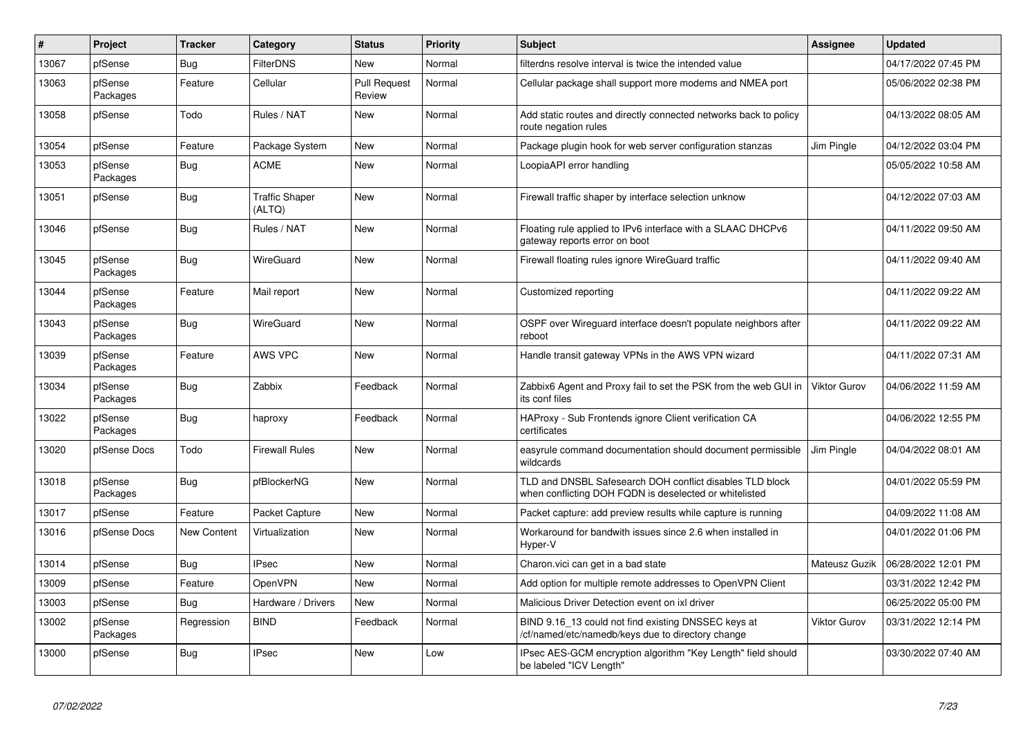| $\vert$ # | <b>Project</b>      | <b>Tracker</b>     | Category                        | <b>Status</b>                 | Priority | <b>Subject</b>                                                                                                     | <b>Assignee</b>     | <b>Updated</b>      |
|-----------|---------------------|--------------------|---------------------------------|-------------------------------|----------|--------------------------------------------------------------------------------------------------------------------|---------------------|---------------------|
| 13067     | pfSense             | <b>Bug</b>         | <b>FilterDNS</b>                | New                           | Normal   | filterdns resolve interval is twice the intended value                                                             |                     | 04/17/2022 07:45 PM |
| 13063     | pfSense<br>Packages | Feature            | Cellular                        | <b>Pull Request</b><br>Review | Normal   | Cellular package shall support more modems and NMEA port                                                           |                     | 05/06/2022 02:38 PM |
| 13058     | pfSense             | Todo               | Rules / NAT                     | New                           | Normal   | Add static routes and directly connected networks back to policy<br>route negation rules                           |                     | 04/13/2022 08:05 AM |
| 13054     | pfSense             | Feature            | Package System                  | New                           | Normal   | Package plugin hook for web server configuration stanzas                                                           | Jim Pingle          | 04/12/2022 03:04 PM |
| 13053     | pfSense<br>Packages | <b>Bug</b>         | <b>ACME</b>                     | New                           | Normal   | LoopiaAPI error handling                                                                                           |                     | 05/05/2022 10:58 AM |
| 13051     | pfSense             | <b>Bug</b>         | <b>Traffic Shaper</b><br>(ALTQ) | New                           | Normal   | Firewall traffic shaper by interface selection unknow                                                              |                     | 04/12/2022 07:03 AM |
| 13046     | pfSense             | Bug                | Rules / NAT                     | <b>New</b>                    | Normal   | Floating rule applied to IPv6 interface with a SLAAC DHCPv6<br>gateway reports error on boot                       |                     | 04/11/2022 09:50 AM |
| 13045     | pfSense<br>Packages | Bug                | <b>WireGuard</b>                | New                           | Normal   | Firewall floating rules ignore WireGuard traffic                                                                   |                     | 04/11/2022 09:40 AM |
| 13044     | pfSense<br>Packages | Feature            | Mail report                     | New                           | Normal   | Customized reporting                                                                                               |                     | 04/11/2022 09:22 AM |
| 13043     | pfSense<br>Packages | Bug                | WireGuard                       | New                           | Normal   | OSPF over Wireguard interface doesn't populate neighbors after<br>reboot                                           |                     | 04/11/2022 09:22 AM |
| 13039     | pfSense<br>Packages | Feature            | <b>AWS VPC</b>                  | New                           | Normal   | Handle transit gateway VPNs in the AWS VPN wizard                                                                  |                     | 04/11/2022 07:31 AM |
| 13034     | pfSense<br>Packages | Bug                | Zabbix                          | Feedback                      | Normal   | Zabbix6 Agent and Proxy fail to set the PSK from the web GUI in<br>its conf files                                  | <b>Viktor Gurov</b> | 04/06/2022 11:59 AM |
| 13022     | pfSense<br>Packages | <b>Bug</b>         | haproxy                         | Feedback                      | Normal   | HAProxy - Sub Frontends ignore Client verification CA<br>certificates                                              |                     | 04/06/2022 12:55 PM |
| 13020     | pfSense Docs        | Todo               | <b>Firewall Rules</b>           | New                           | Normal   | easyrule command documentation should document permissible<br>wildcards                                            | Jim Pingle          | 04/04/2022 08:01 AM |
| 13018     | pfSense<br>Packages | Bug                | pfBlockerNG                     | New                           | Normal   | TLD and DNSBL Safesearch DOH conflict disables TLD block<br>when conflicting DOH FQDN is deselected or whitelisted |                     | 04/01/2022 05:59 PM |
| 13017     | pfSense             | Feature            | Packet Capture                  | New                           | Normal   | Packet capture: add preview results while capture is running                                                       |                     | 04/09/2022 11:08 AM |
| 13016     | pfSense Docs        | <b>New Content</b> | Virtualization                  | <b>New</b>                    | Normal   | Workaround for bandwith issues since 2.6 when installed in<br>Hyper-V                                              |                     | 04/01/2022 01:06 PM |
| 13014     | pfSense             | Bug                | <b>IPsec</b>                    | New                           | Normal   | Charon. vici can get in a bad state                                                                                | Mateusz Guzik       | 06/28/2022 12:01 PM |
| 13009     | pfSense             | Feature            | OpenVPN                         | New                           | Normal   | Add option for multiple remote addresses to OpenVPN Client                                                         |                     | 03/31/2022 12:42 PM |
| 13003     | pfSense             | <b>Bug</b>         | Hardware / Drivers              | New                           | Normal   | Malicious Driver Detection event on ixl driver                                                                     |                     | 06/25/2022 05:00 PM |
| 13002     | pfSense<br>Packages | Regression         | <b>BIND</b>                     | Feedback                      | Normal   | BIND 9.16 13 could not find existing DNSSEC keys at<br>cf/named/etc/namedb/keys due to directory change            | <b>Viktor Gurov</b> | 03/31/2022 12:14 PM |
| 13000     | pfSense             | <b>Bug</b>         | <b>IPsec</b>                    | New                           | Low      | IPsec AES-GCM encryption algorithm "Key Length" field should<br>be labeled "ICV Length"                            |                     | 03/30/2022 07:40 AM |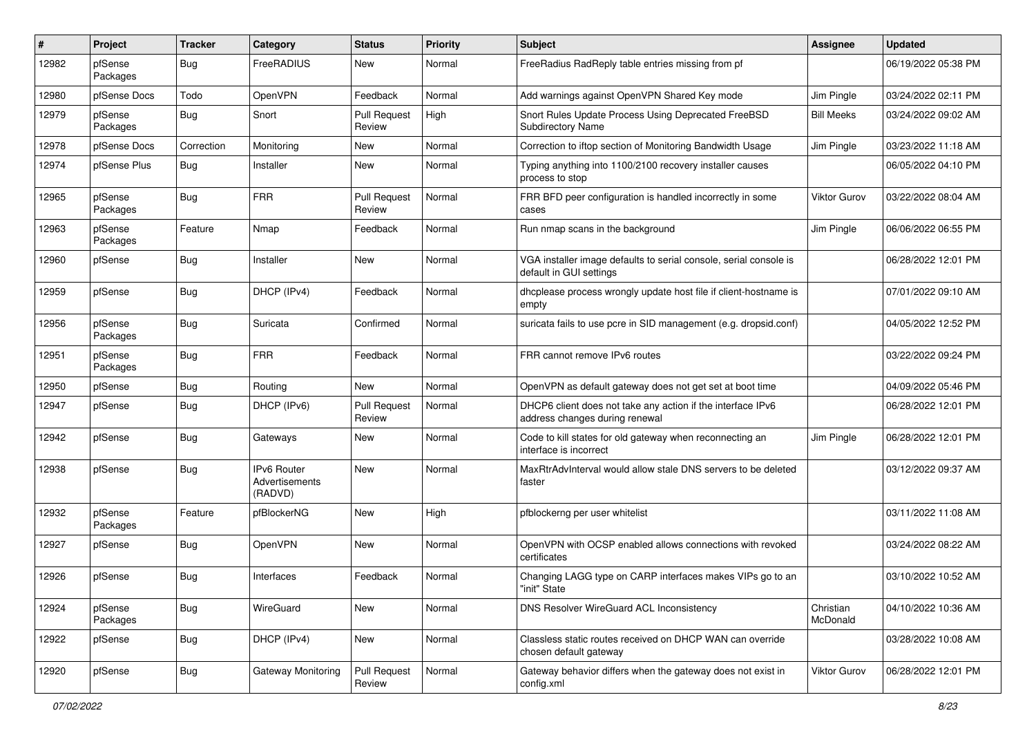| #     | Project             | <b>Tracker</b> | Category                                        | <b>Status</b>                 | <b>Priority</b> | Subject                                                                                       | <b>Assignee</b>       | <b>Updated</b>      |
|-------|---------------------|----------------|-------------------------------------------------|-------------------------------|-----------------|-----------------------------------------------------------------------------------------------|-----------------------|---------------------|
| 12982 | pfSense<br>Packages | <b>Bug</b>     | FreeRADIUS                                      | New                           | Normal          | FreeRadius RadReply table entries missing from pf                                             |                       | 06/19/2022 05:38 PM |
| 12980 | pfSense Docs        | Todo           | OpenVPN                                         | Feedback                      | Normal          | Add warnings against OpenVPN Shared Key mode                                                  | Jim Pingle            | 03/24/2022 02:11 PM |
| 12979 | pfSense<br>Packages | <b>Bug</b>     | Snort                                           | <b>Pull Request</b><br>Review | High            | Snort Rules Update Process Using Deprecated FreeBSD<br>Subdirectory Name                      | <b>Bill Meeks</b>     | 03/24/2022 09:02 AM |
| 12978 | pfSense Docs        | Correction     | Monitoring                                      | New                           | Normal          | Correction to iftop section of Monitoring Bandwidth Usage                                     | Jim Pingle            | 03/23/2022 11:18 AM |
| 12974 | pfSense Plus        | Bug            | Installer                                       | New                           | Normal          | Typing anything into 1100/2100 recovery installer causes<br>process to stop                   |                       | 06/05/2022 04:10 PM |
| 12965 | pfSense<br>Packages | <b>Bug</b>     | <b>FRR</b>                                      | <b>Pull Request</b><br>Review | Normal          | FRR BFD peer configuration is handled incorrectly in some<br>cases                            | Viktor Gurov          | 03/22/2022 08:04 AM |
| 12963 | pfSense<br>Packages | Feature        | Nmap                                            | Feedback                      | Normal          | Run nmap scans in the background                                                              | Jim Pingle            | 06/06/2022 06:55 PM |
| 12960 | pfSense             | Bug            | Installer                                       | <b>New</b>                    | Normal          | VGA installer image defaults to serial console, serial console is<br>default in GUI settings  |                       | 06/28/2022 12:01 PM |
| 12959 | pfSense             | <b>Bug</b>     | DHCP (IPv4)                                     | Feedback                      | Normal          | dhcplease process wrongly update host file if client-hostname is<br>empty                     |                       | 07/01/2022 09:10 AM |
| 12956 | pfSense<br>Packages | <b>Bug</b>     | Suricata                                        | Confirmed                     | Normal          | suricata fails to use pcre in SID management (e.g. dropsid.conf)                              |                       | 04/05/2022 12:52 PM |
| 12951 | pfSense<br>Packages | <b>Bug</b>     | <b>FRR</b>                                      | Feedback                      | Normal          | FRR cannot remove IPv6 routes                                                                 |                       | 03/22/2022 09:24 PM |
| 12950 | pfSense             | Bug            | Routing                                         | New                           | Normal          | OpenVPN as default gateway does not get set at boot time                                      |                       | 04/09/2022 05:46 PM |
| 12947 | pfSense             | Bug            | DHCP (IPv6)                                     | <b>Pull Request</b><br>Review | Normal          | DHCP6 client does not take any action if the interface IPv6<br>address changes during renewal |                       | 06/28/2022 12:01 PM |
| 12942 | pfSense             | Bug            | Gateways                                        | <b>New</b>                    | Normal          | Code to kill states for old gateway when reconnecting an<br>interface is incorrect            | Jim Pingle            | 06/28/2022 12:01 PM |
| 12938 | pfSense             | <b>Bug</b>     | <b>IPv6 Router</b><br>Advertisements<br>(RADVD) | <b>New</b>                    | Normal          | MaxRtrAdvInterval would allow stale DNS servers to be deleted<br>faster                       |                       | 03/12/2022 09:37 AM |
| 12932 | pfSense<br>Packages | Feature        | pfBlockerNG                                     | New                           | High            | pfblockerng per user whitelist                                                                |                       | 03/11/2022 11:08 AM |
| 12927 | pfSense             | <b>Bug</b>     | OpenVPN                                         | New                           | Normal          | OpenVPN with OCSP enabled allows connections with revoked<br>certificates                     |                       | 03/24/2022 08:22 AM |
| 12926 | pfSense             | Bug            | Interfaces                                      | Feedback                      | Normal          | Changing LAGG type on CARP interfaces makes VIPs go to an<br>"init" State                     |                       | 03/10/2022 10:52 AM |
| 12924 | pfSense<br>Packages | Bug            | WireGuard                                       | New                           | Normal          | DNS Resolver WireGuard ACL Inconsistency                                                      | Christian<br>McDonald | 04/10/2022 10:36 AM |
| 12922 | pfSense             | <b>Bug</b>     | DHCP (IPv4)                                     | New                           | Normal          | Classless static routes received on DHCP WAN can override<br>chosen default gateway           |                       | 03/28/2022 10:08 AM |
| 12920 | pfSense             | <b>Bug</b>     | Gateway Monitoring                              | <b>Pull Request</b><br>Review | Normal          | Gateway behavior differs when the gateway does not exist in<br>config.xml                     | Viktor Gurov          | 06/28/2022 12:01 PM |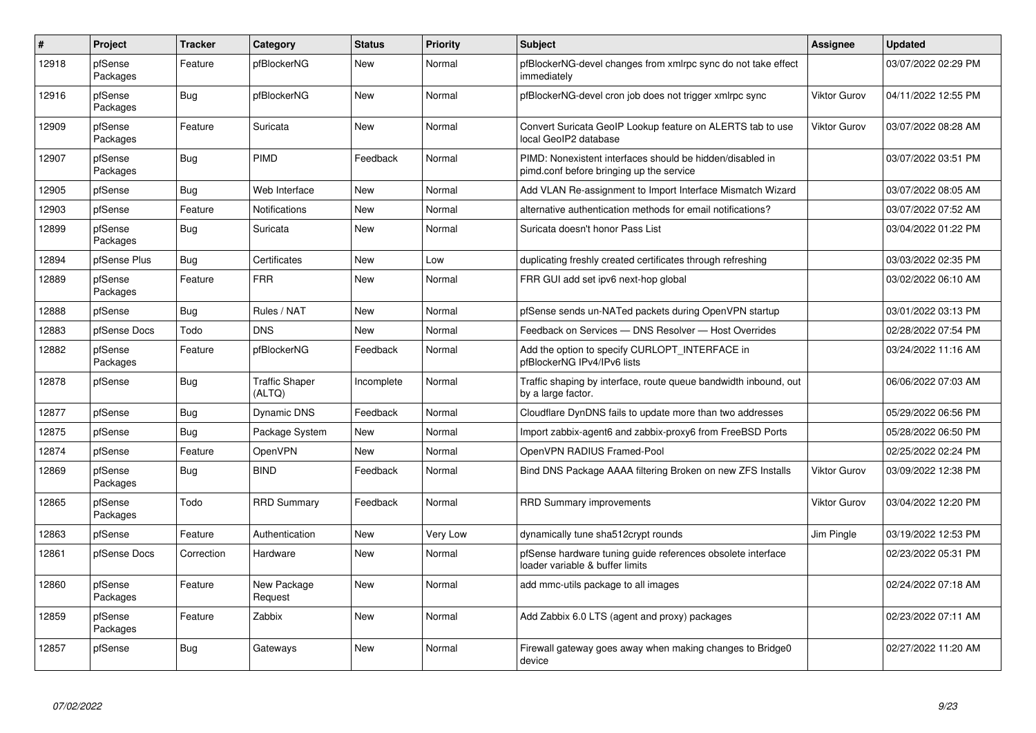| $\#$  | Project             | <b>Tracker</b> | Category                        | Status     | <b>Priority</b> | <b>Subject</b>                                                                                        | Assignee            | <b>Updated</b>      |
|-------|---------------------|----------------|---------------------------------|------------|-----------------|-------------------------------------------------------------------------------------------------------|---------------------|---------------------|
| 12918 | pfSense<br>Packages | Feature        | pfBlockerNG                     | New        | Normal          | pfBlockerNG-devel changes from xmlrpc sync do not take effect<br>immediately                          |                     | 03/07/2022 02:29 PM |
| 12916 | pfSense<br>Packages | Bug            | pfBlockerNG                     | New        | Normal          | pfBlockerNG-devel cron job does not trigger xmlrpc sync                                               | Viktor Gurov        | 04/11/2022 12:55 PM |
| 12909 | pfSense<br>Packages | Feature        | Suricata                        | New        | Normal          | Convert Suricata GeoIP Lookup feature on ALERTS tab to use<br>local GeoIP2 database                   | <b>Viktor Gurov</b> | 03/07/2022 08:28 AM |
| 12907 | pfSense<br>Packages | Bug            | PIMD                            | Feedback   | Normal          | PIMD: Nonexistent interfaces should be hidden/disabled in<br>pimd.conf before bringing up the service |                     | 03/07/2022 03:51 PM |
| 12905 | pfSense             | Bug            | Web Interface                   | New        | Normal          | Add VLAN Re-assignment to Import Interface Mismatch Wizard                                            |                     | 03/07/2022 08:05 AM |
| 12903 | pfSense             | Feature        | Notifications                   | New        | Normal          | alternative authentication methods for email notifications?                                           |                     | 03/07/2022 07:52 AM |
| 12899 | pfSense<br>Packages | <b>Bug</b>     | Suricata                        | New        | Normal          | Suricata doesn't honor Pass List                                                                      |                     | 03/04/2022 01:22 PM |
| 12894 | pfSense Plus        | Bug            | Certificates                    | New        | Low             | duplicating freshly created certificates through refreshing                                           |                     | 03/03/2022 02:35 PM |
| 12889 | pfSense<br>Packages | Feature        | <b>FRR</b>                      | New        | Normal          | FRR GUI add set ipv6 next-hop global                                                                  |                     | 03/02/2022 06:10 AM |
| 12888 | pfSense             | <b>Bug</b>     | Rules / NAT                     | <b>New</b> | Normal          | pfSense sends un-NATed packets during OpenVPN startup                                                 |                     | 03/01/2022 03:13 PM |
| 12883 | pfSense Docs        | Todo           | <b>DNS</b>                      | New        | Normal          | Feedback on Services - DNS Resolver - Host Overrides                                                  |                     | 02/28/2022 07:54 PM |
| 12882 | pfSense<br>Packages | Feature        | pfBlockerNG                     | Feedback   | Normal          | Add the option to specify CURLOPT INTERFACE in<br>pfBlockerNG IPv4/IPv6 lists                         |                     | 03/24/2022 11:16 AM |
| 12878 | pfSense             | Bug            | <b>Traffic Shaper</b><br>(ALTQ) | Incomplete | Normal          | Traffic shaping by interface, route queue bandwidth inbound, out<br>by a large factor.                |                     | 06/06/2022 07:03 AM |
| 12877 | pfSense             | Bug            | <b>Dynamic DNS</b>              | Feedback   | Normal          | Cloudflare DynDNS fails to update more than two addresses                                             |                     | 05/29/2022 06:56 PM |
| 12875 | pfSense             | <b>Bug</b>     | Package System                  | New        | Normal          | Import zabbix-agent6 and zabbix-proxy6 from FreeBSD Ports                                             |                     | 05/28/2022 06:50 PM |
| 12874 | pfSense             | Feature        | OpenVPN                         | New        | Normal          | OpenVPN RADIUS Framed-Pool                                                                            |                     | 02/25/2022 02:24 PM |
| 12869 | pfSense<br>Packages | <b>Bug</b>     | <b>BIND</b>                     | Feedback   | Normal          | Bind DNS Package AAAA filtering Broken on new ZFS Installs                                            | <b>Viktor Gurov</b> | 03/09/2022 12:38 PM |
| 12865 | pfSense<br>Packages | Todo           | <b>RRD Summary</b>              | Feedback   | Normal          | <b>RRD Summary improvements</b>                                                                       | <b>Viktor Gurov</b> | 03/04/2022 12:20 PM |
| 12863 | pfSense             | Feature        | Authentication                  | New        | Very Low        | dynamically tune sha512crypt rounds                                                                   | Jim Pingle          | 03/19/2022 12:53 PM |
| 12861 | pfSense Docs        | Correction     | Hardware                        | New        | Normal          | pfSense hardware tuning quide references obsolete interface<br>loader variable & buffer limits        |                     | 02/23/2022 05:31 PM |
| 12860 | pfSense<br>Packages | Feature        | New Package<br>Request          | New        | Normal          | add mmc-utils package to all images                                                                   |                     | 02/24/2022 07:18 AM |
| 12859 | pfSense<br>Packages | Feature        | Zabbix                          | New        | Normal          | Add Zabbix 6.0 LTS (agent and proxy) packages                                                         |                     | 02/23/2022 07:11 AM |
| 12857 | pfSense             | Bug            | Gateways                        | New        | Normal          | Firewall gateway goes away when making changes to Bridge0<br>device                                   |                     | 02/27/2022 11:20 AM |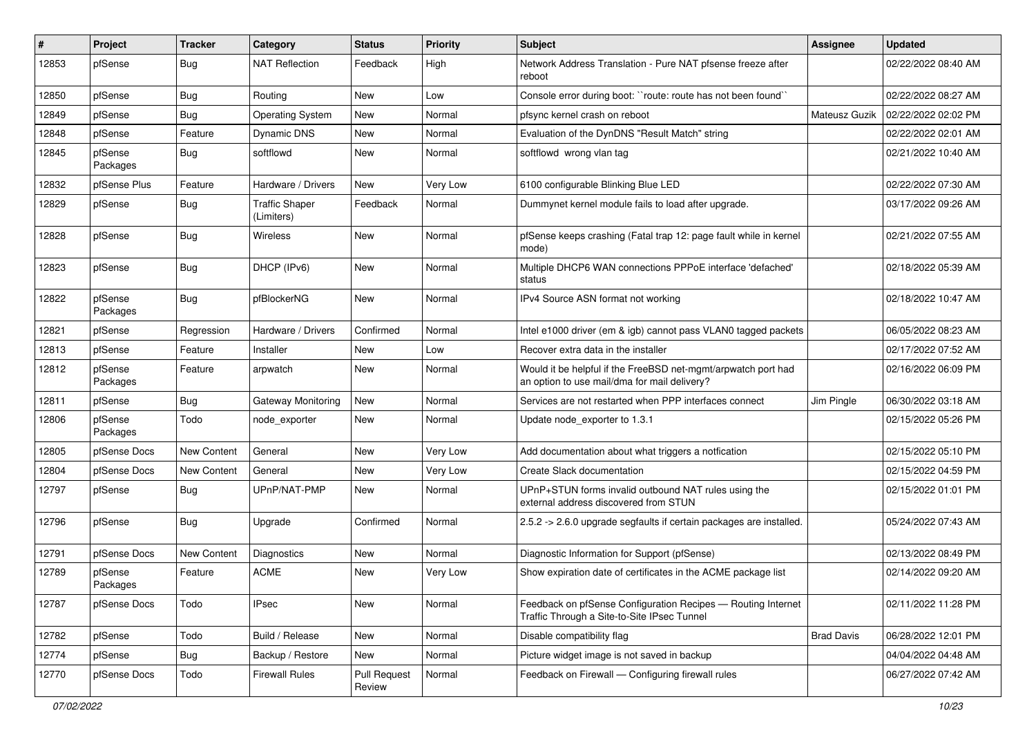| #     | Project             | <b>Tracker</b>     | Category                            | <b>Status</b>                 | <b>Priority</b> | Subject                                                                                                       | <b>Assignee</b>   | <b>Updated</b>      |
|-------|---------------------|--------------------|-------------------------------------|-------------------------------|-----------------|---------------------------------------------------------------------------------------------------------------|-------------------|---------------------|
| 12853 | pfSense             | Bug                | <b>NAT Reflection</b>               | Feedback                      | High            | Network Address Translation - Pure NAT pfsense freeze after<br>reboot                                         |                   | 02/22/2022 08:40 AM |
| 12850 | pfSense             | Bug                | Routing                             | New                           | Low             | Console error during boot: "route: route has not been found"                                                  |                   | 02/22/2022 08:27 AM |
| 12849 | pfSense             | Bug                | <b>Operating System</b>             | New                           | Normal          | pfsync kernel crash on reboot                                                                                 | Mateusz Guzik     | 02/22/2022 02:02 PM |
| 12848 | pfSense             | Feature            | <b>Dynamic DNS</b>                  | New                           | Normal          | Evaluation of the DynDNS "Result Match" string                                                                |                   | 02/22/2022 02:01 AM |
| 12845 | pfSense<br>Packages | Bug                | softflowd                           | New                           | Normal          | softflowd wrong vlan tag                                                                                      |                   | 02/21/2022 10:40 AM |
| 12832 | pfSense Plus        | Feature            | Hardware / Drivers                  | New                           | <b>Very Low</b> | 6100 configurable Blinking Blue LED                                                                           |                   | 02/22/2022 07:30 AM |
| 12829 | pfSense             | <b>Bug</b>         | <b>Traffic Shaper</b><br>(Limiters) | Feedback                      | Normal          | Dummynet kernel module fails to load after upgrade.                                                           |                   | 03/17/2022 09:26 AM |
| 12828 | pfSense             | Bug                | <b>Wireless</b>                     | New                           | Normal          | pfSense keeps crashing (Fatal trap 12: page fault while in kernel<br>mode)                                    |                   | 02/21/2022 07:55 AM |
| 12823 | pfSense             | Bug                | DHCP (IPv6)                         | New                           | Normal          | Multiple DHCP6 WAN connections PPPoE interface 'defached'<br>status                                           |                   | 02/18/2022 05:39 AM |
| 12822 | pfSense<br>Packages | Bug                | pfBlockerNG                         | New                           | Normal          | IPv4 Source ASN format not working                                                                            |                   | 02/18/2022 10:47 AM |
| 12821 | pfSense             | Regression         | Hardware / Drivers                  | Confirmed                     | Normal          | Intel e1000 driver (em & igb) cannot pass VLAN0 tagged packets                                                |                   | 06/05/2022 08:23 AM |
| 12813 | pfSense             | Feature            | Installer                           | New                           | Low             | Recover extra data in the installer                                                                           |                   | 02/17/2022 07:52 AM |
| 12812 | pfSense<br>Packages | Feature            | arpwatch                            | New                           | Normal          | Would it be helpful if the FreeBSD net-mgmt/arpwatch port had<br>an option to use mail/dma for mail delivery? |                   | 02/16/2022 06:09 PM |
| 12811 | pfSense             | Bug                | Gateway Monitoring                  | New                           | Normal          | Services are not restarted when PPP interfaces connect                                                        | Jim Pingle        | 06/30/2022 03:18 AM |
| 12806 | pfSense<br>Packages | Todo               | node exporter                       | New                           | Normal          | Update node exporter to 1.3.1                                                                                 |                   | 02/15/2022 05:26 PM |
| 12805 | pfSense Docs        | New Content        | General                             | New                           | <b>Very Low</b> | Add documentation about what triggers a notfication                                                           |                   | 02/15/2022 05:10 PM |
| 12804 | pfSense Docs        | <b>New Content</b> | General                             | New                           | Very Low        | Create Slack documentation                                                                                    |                   | 02/15/2022 04:59 PM |
| 12797 | pfSense             | Bug                | UPnP/NAT-PMP                        | New                           | Normal          | UPnP+STUN forms invalid outbound NAT rules using the<br>external address discovered from STUN                 |                   | 02/15/2022 01:01 PM |
| 12796 | pfSense             | Bug                | Upgrade                             | Confirmed                     | Normal          | 2.5.2 -> 2.6.0 upgrade segfaults if certain packages are installed.                                           |                   | 05/24/2022 07:43 AM |
| 12791 | pfSense Docs        | New Content        | Diagnostics                         | New                           | Normal          | Diagnostic Information for Support (pfSense)                                                                  |                   | 02/13/2022 08:49 PM |
| 12789 | pfSense<br>Packages | Feature            | <b>ACME</b>                         | New                           | <b>Very Low</b> | Show expiration date of certificates in the ACME package list                                                 |                   | 02/14/2022 09:20 AM |
| 12787 | pfSense Docs        | Todo               | <b>IPsec</b>                        | New                           | Normal          | Feedback on pfSense Configuration Recipes - Routing Internet<br>Traffic Through a Site-to-Site IPsec Tunnel   |                   | 02/11/2022 11:28 PM |
| 12782 | pfSense             | Todo               | Build / Release                     | New                           | Normal          | Disable compatibility flag                                                                                    | <b>Brad Davis</b> | 06/28/2022 12:01 PM |
| 12774 | pfSense             | <b>Bug</b>         | Backup / Restore                    | New                           | Normal          | Picture widget image is not saved in backup                                                                   |                   | 04/04/2022 04:48 AM |
| 12770 | pfSense Docs        | Todo               | <b>Firewall Rules</b>               | <b>Pull Request</b><br>Review | Normal          | Feedback on Firewall - Configuring firewall rules                                                             |                   | 06/27/2022 07:42 AM |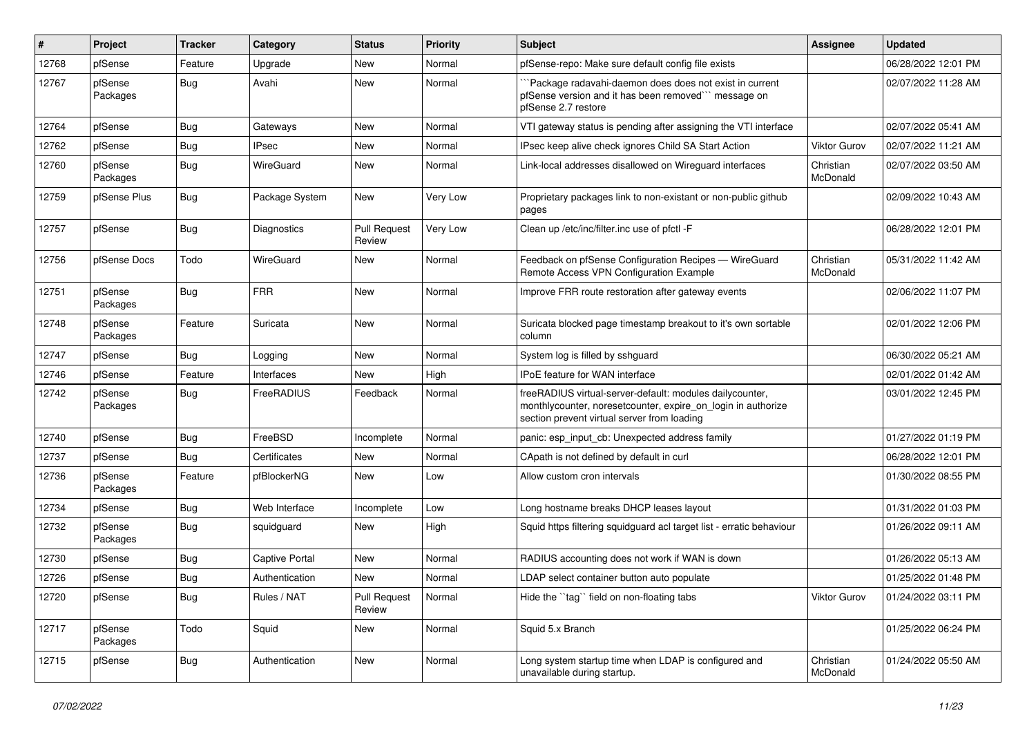| #     | Project             | <b>Tracker</b> | Category              | <b>Status</b>                 | <b>Priority</b> | Subject                                                                                                                                                                 | <b>Assignee</b>       | <b>Updated</b>      |
|-------|---------------------|----------------|-----------------------|-------------------------------|-----------------|-------------------------------------------------------------------------------------------------------------------------------------------------------------------------|-----------------------|---------------------|
| 12768 | pfSense             | Feature        | Upgrade               | New                           | Normal          | pfSense-repo: Make sure default config file exists                                                                                                                      |                       | 06/28/2022 12:01 PM |
| 12767 | pfSense<br>Packages | <b>Bug</b>     | Avahi                 | <b>New</b>                    | Normal          | "Package radavahi-daemon does does not exist in current<br>pfSense version and it has been removed" message on<br>pfSense 2.7 restore                                   |                       | 02/07/2022 11:28 AM |
| 12764 | pfSense             | <b>Bug</b>     | Gateways              | New                           | Normal          | VTI gateway status is pending after assigning the VTI interface                                                                                                         |                       | 02/07/2022 05:41 AM |
| 12762 | pfSense             | <b>Bug</b>     | <b>IPsec</b>          | New                           | Normal          | IPsec keep alive check ignores Child SA Start Action                                                                                                                    | <b>Viktor Gurov</b>   | 02/07/2022 11:21 AM |
| 12760 | pfSense<br>Packages | <b>Bug</b>     | WireGuard             | New                           | Normal          | Link-local addresses disallowed on Wireguard interfaces                                                                                                                 | Christian<br>McDonald | 02/07/2022 03:50 AM |
| 12759 | pfSense Plus        | <b>Bug</b>     | Package System        | New                           | Very Low        | Proprietary packages link to non-existant or non-public github<br>pages                                                                                                 |                       | 02/09/2022 10:43 AM |
| 12757 | pfSense             | <b>Bug</b>     | Diagnostics           | <b>Pull Request</b><br>Review | Very Low        | Clean up /etc/inc/filter.inc use of pfctl -F                                                                                                                            |                       | 06/28/2022 12:01 PM |
| 12756 | pfSense Docs        | Todo           | WireGuard             | <b>New</b>                    | Normal          | Feedback on pfSense Configuration Recipes - WireGuard<br>Remote Access VPN Configuration Example                                                                        | Christian<br>McDonald | 05/31/2022 11:42 AM |
| 12751 | pfSense<br>Packages | <b>Bug</b>     | <b>FRR</b>            | <b>New</b>                    | Normal          | Improve FRR route restoration after gateway events                                                                                                                      |                       | 02/06/2022 11:07 PM |
| 12748 | pfSense<br>Packages | Feature        | Suricata              | <b>New</b>                    | Normal          | Suricata blocked page timestamp breakout to it's own sortable<br>column                                                                                                 |                       | 02/01/2022 12:06 PM |
| 12747 | pfSense             | <b>Bug</b>     | Logging               | <b>New</b>                    | Normal          | System log is filled by sshguard                                                                                                                                        |                       | 06/30/2022 05:21 AM |
| 12746 | pfSense             | Feature        | Interfaces            | New                           | High            | IPoE feature for WAN interface                                                                                                                                          |                       | 02/01/2022 01:42 AM |
| 12742 | pfSense<br>Packages | <b>Bug</b>     | FreeRADIUS            | Feedback                      | Normal          | freeRADIUS virtual-server-default: modules dailycounter,<br>monthlycounter, noresetcounter, expire_on_login in authorize<br>section prevent virtual server from loading |                       | 03/01/2022 12:45 PM |
| 12740 | pfSense             | <b>Bug</b>     | FreeBSD               | Incomplete                    | Normal          | panic: esp input cb: Unexpected address family                                                                                                                          |                       | 01/27/2022 01:19 PM |
| 12737 | pfSense             | Bug            | Certificates          | New                           | Normal          | CApath is not defined by default in curl                                                                                                                                |                       | 06/28/2022 12:01 PM |
| 12736 | pfSense<br>Packages | Feature        | pfBlockerNG           | New                           | Low             | Allow custom cron intervals                                                                                                                                             |                       | 01/30/2022 08:55 PM |
| 12734 | pfSense             | <b>Bug</b>     | Web Interface         | Incomplete                    | Low             | Long hostname breaks DHCP leases layout                                                                                                                                 |                       | 01/31/2022 01:03 PM |
| 12732 | pfSense<br>Packages | <b>Bug</b>     | squidguard            | New                           | High            | Squid https filtering squidguard acl target list - erratic behaviour                                                                                                    |                       | 01/26/2022 09:11 AM |
| 12730 | pfSense             | <b>Bug</b>     | <b>Captive Portal</b> | New                           | Normal          | RADIUS accounting does not work if WAN is down                                                                                                                          |                       | 01/26/2022 05:13 AM |
| 12726 | pfSense             | Bug            | Authentication        | <b>New</b>                    | Normal          | LDAP select container button auto populate                                                                                                                              |                       | 01/25/2022 01:48 PM |
| 12720 | pfSense             | <b>Bug</b>     | Rules / NAT           | <b>Pull Request</b><br>Review | Normal          | Hide the "tag" field on non-floating tabs                                                                                                                               | Viktor Gurov          | 01/24/2022 03:11 PM |
| 12717 | pfSense<br>Packages | Todo           | Squid                 | New                           | Normal          | Squid 5.x Branch                                                                                                                                                        |                       | 01/25/2022 06:24 PM |
| 12715 | pfSense             | <b>Bug</b>     | Authentication        | New                           | Normal          | Long system startup time when LDAP is configured and<br>unavailable during startup.                                                                                     | Christian<br>McDonald | 01/24/2022 05:50 AM |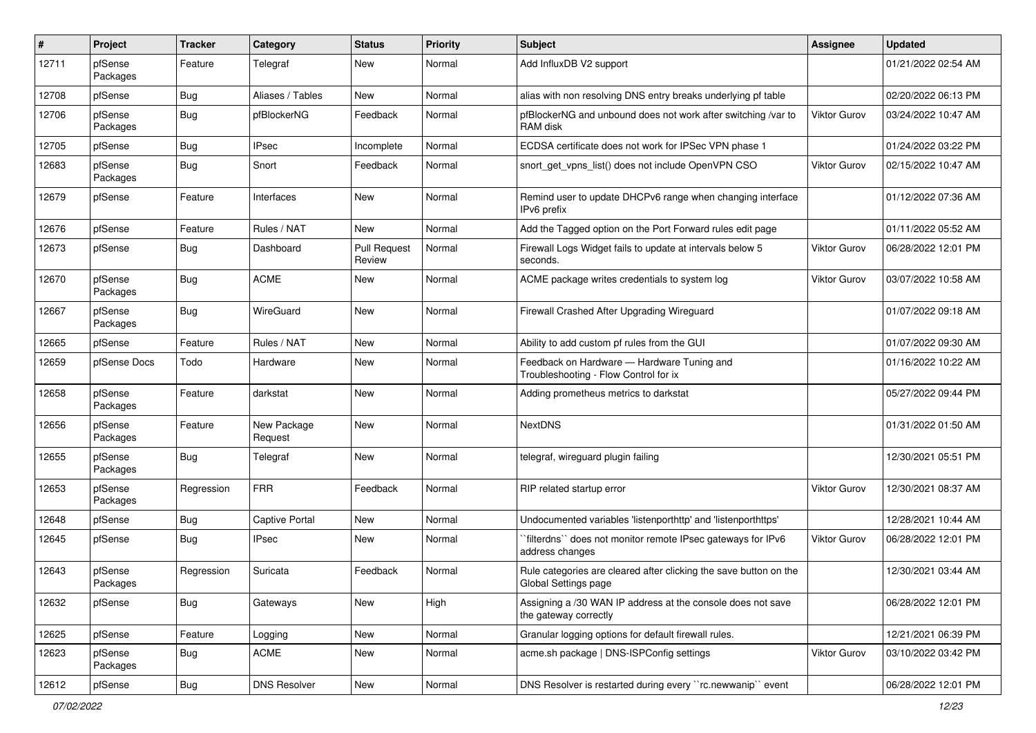| #     | Project             | <b>Tracker</b> | Category               | <b>Status</b>                 | <b>Priority</b> | Subject                                                                                   | <b>Assignee</b>     | <b>Updated</b>      |
|-------|---------------------|----------------|------------------------|-------------------------------|-----------------|-------------------------------------------------------------------------------------------|---------------------|---------------------|
| 12711 | pfSense<br>Packages | Feature        | Telegraf               | New                           | Normal          | Add InfluxDB V2 support                                                                   |                     | 01/21/2022 02:54 AM |
| 12708 | pfSense             | <b>Bug</b>     | Aliases / Tables       | New                           | Normal          | alias with non resolving DNS entry breaks underlying pf table                             |                     | 02/20/2022 06:13 PM |
| 12706 | pfSense<br>Packages | <b>Bug</b>     | pfBlockerNG            | Feedback                      | Normal          | pfBlockerNG and unbound does not work after switching /var to<br>RAM disk                 | Viktor Gurov        | 03/24/2022 10:47 AM |
| 12705 | pfSense             | Bug            | <b>IPsec</b>           | Incomplete                    | Normal          | ECDSA certificate does not work for IPSec VPN phase 1                                     |                     | 01/24/2022 03:22 PM |
| 12683 | pfSense<br>Packages | Bug            | Snort                  | Feedback                      | Normal          | snort get vpns list() does not include OpenVPN CSO                                        | Viktor Gurov        | 02/15/2022 10:47 AM |
| 12679 | pfSense             | Feature        | Interfaces             | New                           | Normal          | Remind user to update DHCPv6 range when changing interface<br>IPv6 prefix                 |                     | 01/12/2022 07:36 AM |
| 12676 | pfSense             | Feature        | Rules / NAT            | New                           | Normal          | Add the Tagged option on the Port Forward rules edit page                                 |                     | 01/11/2022 05:52 AM |
| 12673 | pfSense             | <b>Bug</b>     | Dashboard              | <b>Pull Request</b><br>Review | Normal          | Firewall Logs Widget fails to update at intervals below 5<br>seconds.                     | <b>Viktor Gurov</b> | 06/28/2022 12:01 PM |
| 12670 | pfSense<br>Packages | Bug            | <b>ACME</b>            | New                           | Normal          | ACME package writes credentials to system log                                             | Viktor Gurov        | 03/07/2022 10:58 AM |
| 12667 | pfSense<br>Packages | Bug            | WireGuard              | New                           | Normal          | Firewall Crashed After Upgrading Wireguard                                                |                     | 01/07/2022 09:18 AM |
| 12665 | pfSense             | Feature        | Rules / NAT            | New                           | Normal          | Ability to add custom pf rules from the GUI                                               |                     | 01/07/2022 09:30 AM |
| 12659 | pfSense Docs        | Todo           | Hardware               | New                           | Normal          | Feedback on Hardware - Hardware Tuning and<br>Troubleshooting - Flow Control for ix       |                     | 01/16/2022 10:22 AM |
| 12658 | pfSense<br>Packages | Feature        | darkstat               | New                           | Normal          | Adding prometheus metrics to darkstat                                                     |                     | 05/27/2022 09:44 PM |
| 12656 | pfSense<br>Packages | Feature        | New Package<br>Request | New                           | Normal          | <b>NextDNS</b>                                                                            |                     | 01/31/2022 01:50 AM |
| 12655 | pfSense<br>Packages | Bug            | Telegraf               | New                           | Normal          | telegraf, wireguard plugin failing                                                        |                     | 12/30/2021 05:51 PM |
| 12653 | pfSense<br>Packages | Regression     | <b>FRR</b>             | Feedback                      | Normal          | RIP related startup error                                                                 | Viktor Gurov        | 12/30/2021 08:37 AM |
| 12648 | pfSense             | <b>Bug</b>     | <b>Captive Portal</b>  | New                           | Normal          | Undocumented variables 'listenporthttp' and 'listenporthttps'                             |                     | 12/28/2021 10:44 AM |
| 12645 | pfSense             | Bug            | <b>IPsec</b>           | New                           | Normal          | `filterdns`` does not monitor remote IPsec gateways for IPv6<br>address changes           | Viktor Gurov        | 06/28/2022 12:01 PM |
| 12643 | pfSense<br>Packages | Regression     | Suricata               | Feedback                      | Normal          | Rule categories are cleared after clicking the save button on the<br>Global Settings page |                     | 12/30/2021 03:44 AM |
| 12632 | pfSense             | Bug            | Gateways               | New                           | High            | Assigning a /30 WAN IP address at the console does not save<br>the gateway correctly      |                     | 06/28/2022 12:01 PM |
| 12625 | pfSense             | Feature        | Logging                | New                           | Normal          | Granular logging options for default firewall rules.                                      |                     | 12/21/2021 06:39 PM |
| 12623 | pfSense<br>Packages | <b>Bug</b>     | <b>ACME</b>            | New                           | Normal          | acme.sh package   DNS-ISPConfig settings                                                  | Viktor Gurov        | 03/10/2022 03:42 PM |
| 12612 | pfSense             | <b>Bug</b>     | <b>DNS Resolver</b>    | New                           | Normal          | DNS Resolver is restarted during every "rc.newwanip" event                                |                     | 06/28/2022 12:01 PM |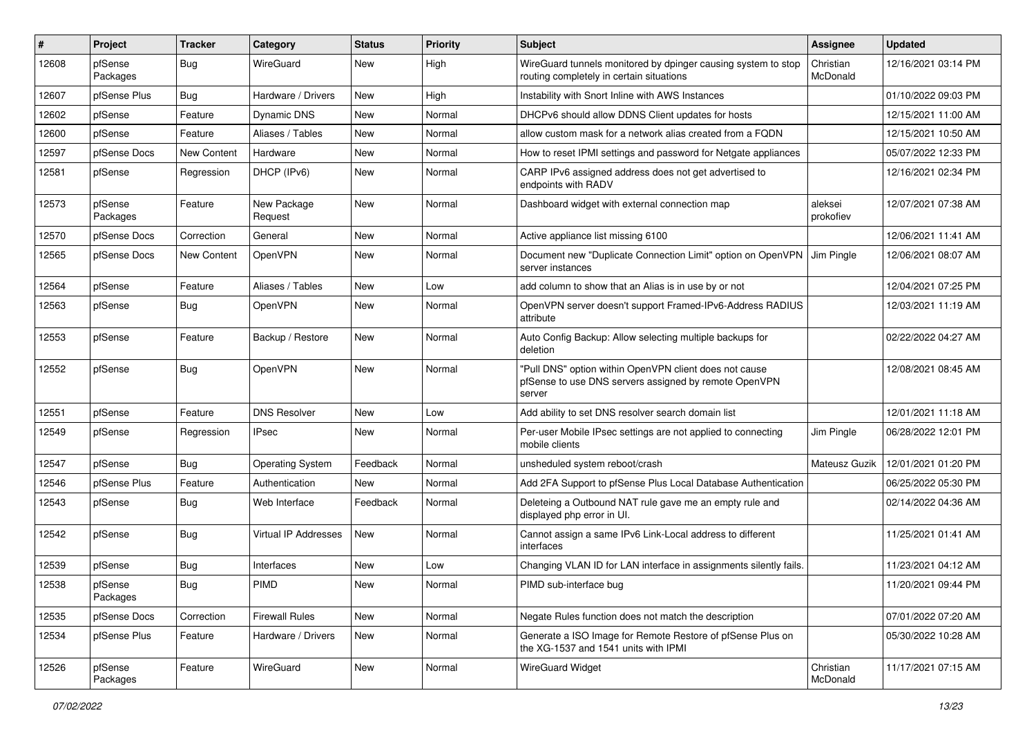| #     | Project             | <b>Tracker</b>     | Category                | <b>Status</b> | <b>Priority</b> | Subject                                                                                                                   | <b>Assignee</b>       | <b>Updated</b>      |
|-------|---------------------|--------------------|-------------------------|---------------|-----------------|---------------------------------------------------------------------------------------------------------------------------|-----------------------|---------------------|
| 12608 | pfSense<br>Packages | Bug                | WireGuard               | New           | High            | WireGuard tunnels monitored by dpinger causing system to stop<br>routing completely in certain situations                 | Christian<br>McDonald | 12/16/2021 03:14 PM |
| 12607 | pfSense Plus        | Bug                | Hardware / Drivers      | New           | High            | Instability with Snort Inline with AWS Instances                                                                          |                       | 01/10/2022 09:03 PM |
| 12602 | pfSense             | Feature            | <b>Dynamic DNS</b>      | New           | Normal          | DHCPv6 should allow DDNS Client updates for hosts                                                                         |                       | 12/15/2021 11:00 AM |
| 12600 | pfSense             | Feature            | Aliases / Tables        | New           | Normal          | allow custom mask for a network alias created from a FQDN                                                                 |                       | 12/15/2021 10:50 AM |
| 12597 | pfSense Docs        | <b>New Content</b> | Hardware                | New           | Normal          | How to reset IPMI settings and password for Netgate appliances                                                            |                       | 05/07/2022 12:33 PM |
| 12581 | pfSense             | Regression         | DHCP (IPv6)             | New           | Normal          | CARP IPv6 assigned address does not get advertised to<br>endpoints with RADV                                              |                       | 12/16/2021 02:34 PM |
| 12573 | pfSense<br>Packages | Feature            | New Package<br>Request  | New           | Normal          | Dashboard widget with external connection map                                                                             | aleksei<br>prokofiev  | 12/07/2021 07:38 AM |
| 12570 | pfSense Docs        | Correction         | General                 | New           | Normal          | Active appliance list missing 6100                                                                                        |                       | 12/06/2021 11:41 AM |
| 12565 | pfSense Docs        | <b>New Content</b> | OpenVPN                 | New           | Normal          | Document new "Duplicate Connection Limit" option on OpenVPN<br>server instances                                           | Jim Pingle            | 12/06/2021 08:07 AM |
| 12564 | pfSense             | Feature            | Aliases / Tables        | New           | Low             | add column to show that an Alias is in use by or not                                                                      |                       | 12/04/2021 07:25 PM |
| 12563 | pfSense             | Bug                | OpenVPN                 | New           | Normal          | OpenVPN server doesn't support Framed-IPv6-Address RADIUS<br>attribute                                                    |                       | 12/03/2021 11:19 AM |
| 12553 | pfSense             | Feature            | Backup / Restore        | New           | Normal          | Auto Config Backup: Allow selecting multiple backups for<br>deletion                                                      |                       | 02/22/2022 04:27 AM |
| 12552 | pfSense             | Bug                | OpenVPN                 | New           | Normal          | "Pull DNS" option within OpenVPN client does not cause<br>pfSense to use DNS servers assigned by remote OpenVPN<br>server |                       | 12/08/2021 08:45 AM |
| 12551 | pfSense             | Feature            | <b>DNS Resolver</b>     | New           | Low             | Add ability to set DNS resolver search domain list                                                                        |                       | 12/01/2021 11:18 AM |
| 12549 | pfSense             | Regression         | <b>IPsec</b>            | New           | Normal          | Per-user Mobile IPsec settings are not applied to connecting<br>mobile clients                                            | Jim Pingle            | 06/28/2022 12:01 PM |
| 12547 | pfSense             | Bug                | <b>Operating System</b> | Feedback      | Normal          | unsheduled system reboot/crash                                                                                            | Mateusz Guzik         | 12/01/2021 01:20 PM |
| 12546 | pfSense Plus        | Feature            | Authentication          | New           | Normal          | Add 2FA Support to pfSense Plus Local Database Authentication                                                             |                       | 06/25/2022 05:30 PM |
| 12543 | pfSense             | Bug                | Web Interface           | Feedback      | Normal          | Deleteing a Outbound NAT rule gave me an empty rule and<br>displayed php error in UI.                                     |                       | 02/14/2022 04:36 AM |
| 12542 | pfSense             | Bug                | Virtual IP Addresses    | New           | Normal          | Cannot assign a same IPv6 Link-Local address to different<br>interfaces                                                   |                       | 11/25/2021 01:41 AM |
| 12539 | pfSense             | Bug                | Interfaces              | New           | Low             | Changing VLAN ID for LAN interface in assignments silently fails.                                                         |                       | 11/23/2021 04:12 AM |
| 12538 | pfSense<br>Packages | Bug                | PIMD                    | New           | Normal          | PIMD sub-interface bug                                                                                                    |                       | 11/20/2021 09:44 PM |
| 12535 | pfSense Docs        | Correction         | <b>Firewall Rules</b>   | New           | Normal          | Negate Rules function does not match the description                                                                      |                       | 07/01/2022 07:20 AM |
| 12534 | pfSense Plus        | Feature            | Hardware / Drivers      | New           | Normal          | Generate a ISO Image for Remote Restore of pfSense Plus on<br>the XG-1537 and 1541 units with IPMI                        |                       | 05/30/2022 10:28 AM |
| 12526 | pfSense<br>Packages | Feature            | WireGuard               | New           | Normal          | WireGuard Widget                                                                                                          | Christian<br>McDonald | 11/17/2021 07:15 AM |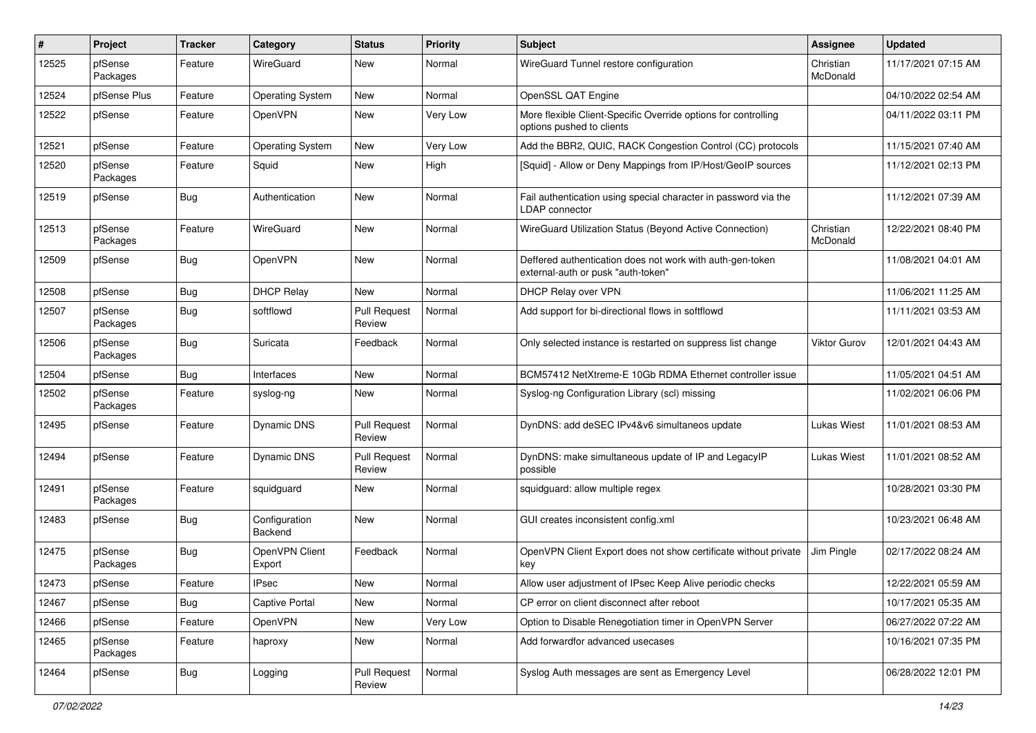| #     | Project             | <b>Tracker</b> | Category                 | <b>Status</b>                 | <b>Priority</b> | <b>Subject</b>                                                                                  | <b>Assignee</b>       | <b>Updated</b>      |
|-------|---------------------|----------------|--------------------------|-------------------------------|-----------------|-------------------------------------------------------------------------------------------------|-----------------------|---------------------|
| 12525 | pfSense<br>Packages | Feature        | WireGuard                | New                           | Normal          | WireGuard Tunnel restore configuration                                                          | Christian<br>McDonald | 11/17/2021 07:15 AM |
| 12524 | pfSense Plus        | Feature        | <b>Operating System</b>  | New                           | Normal          | OpenSSL QAT Engine                                                                              |                       | 04/10/2022 02:54 AM |
| 12522 | pfSense             | Feature        | OpenVPN                  | New                           | Very Low        | More flexible Client-Specific Override options for controlling<br>options pushed to clients     |                       | 04/11/2022 03:11 PM |
| 12521 | pfSense             | Feature        | <b>Operating System</b>  | New                           | Very Low        | Add the BBR2, QUIC, RACK Congestion Control (CC) protocols                                      |                       | 11/15/2021 07:40 AM |
| 12520 | pfSense<br>Packages | Feature        | Squid                    | New                           | High            | [Squid] - Allow or Deny Mappings from IP/Host/GeoIP sources                                     |                       | 11/12/2021 02:13 PM |
| 12519 | pfSense             | Bug            | Authentication           | New                           | Normal          | Fail authentication using special character in password via the<br><b>LDAP</b> connector        |                       | 11/12/2021 07:39 AM |
| 12513 | pfSense<br>Packages | Feature        | WireGuard                | New                           | Normal          | WireGuard Utilization Status (Beyond Active Connection)                                         | Christian<br>McDonald | 12/22/2021 08:40 PM |
| 12509 | pfSense             | Bug            | OpenVPN                  | <b>New</b>                    | Normal          | Deffered authentication does not work with auth-gen-token<br>external-auth or pusk "auth-token" |                       | 11/08/2021 04:01 AM |
| 12508 | pfSense             | Bug            | <b>DHCP Relay</b>        | New                           | Normal          | DHCP Relay over VPN                                                                             |                       | 11/06/2021 11:25 AM |
| 12507 | pfSense<br>Packages | Bug            | softflowd                | <b>Pull Request</b><br>Review | Normal          | Add support for bi-directional flows in softflowd                                               |                       | 11/11/2021 03:53 AM |
| 12506 | pfSense<br>Packages | Bug            | Suricata                 | Feedback                      | Normal          | Only selected instance is restarted on suppress list change                                     | <b>Viktor Gurov</b>   | 12/01/2021 04:43 AM |
| 12504 | pfSense             | Bug            | Interfaces               | New                           | Normal          | BCM57412 NetXtreme-E 10Gb RDMA Ethernet controller issue                                        |                       | 11/05/2021 04:51 AM |
| 12502 | pfSense<br>Packages | Feature        | syslog-ng                | New                           | Normal          | Syslog-ng Configuration Library (scl) missing                                                   |                       | 11/02/2021 06:06 PM |
| 12495 | pfSense             | Feature        | Dynamic DNS              | <b>Pull Request</b><br>Review | Normal          | DynDNS: add deSEC IPv4&v6 simultaneos update                                                    | <b>Lukas Wiest</b>    | 11/01/2021 08:53 AM |
| 12494 | pfSense             | Feature        | Dynamic DNS              | <b>Pull Request</b><br>Review | Normal          | DynDNS: make simultaneous update of IP and LegacyIP<br>possible                                 | Lukas Wiest           | 11/01/2021 08:52 AM |
| 12491 | pfSense<br>Packages | Feature        | squidguard               | <b>New</b>                    | Normal          | squidguard: allow multiple regex                                                                |                       | 10/28/2021 03:30 PM |
| 12483 | pfSense             | Bug            | Configuration<br>Backend | New                           | Normal          | GUI creates inconsistent config.xml                                                             |                       | 10/23/2021 06:48 AM |
| 12475 | pfSense<br>Packages | Bug            | OpenVPN Client<br>Export | Feedback                      | Normal          | OpenVPN Client Export does not show certificate without private<br>key                          | Jim Pingle            | 02/17/2022 08:24 AM |
| 12473 | pfSense             | Feature        | <b>IPsec</b>             | New                           | Normal          | Allow user adjustment of IPsec Keep Alive periodic checks                                       |                       | 12/22/2021 05:59 AM |
| 12467 | pfSense             | Bug            | Captive Portal           | New                           | Normal          | CP error on client disconnect after reboot                                                      |                       | 10/17/2021 05:35 AM |
| 12466 | pfSense             | Feature        | OpenVPN                  | New                           | Very Low        | Option to Disable Renegotiation timer in OpenVPN Server                                         |                       | 06/27/2022 07:22 AM |
| 12465 | pfSense<br>Packages | Feature        | haproxy                  | New                           | Normal          | Add forwardfor advanced usecases                                                                |                       | 10/16/2021 07:35 PM |
| 12464 | pfSense             | Bug            | Logging                  | <b>Pull Request</b><br>Review | Normal          | Syslog Auth messages are sent as Emergency Level                                                |                       | 06/28/2022 12:01 PM |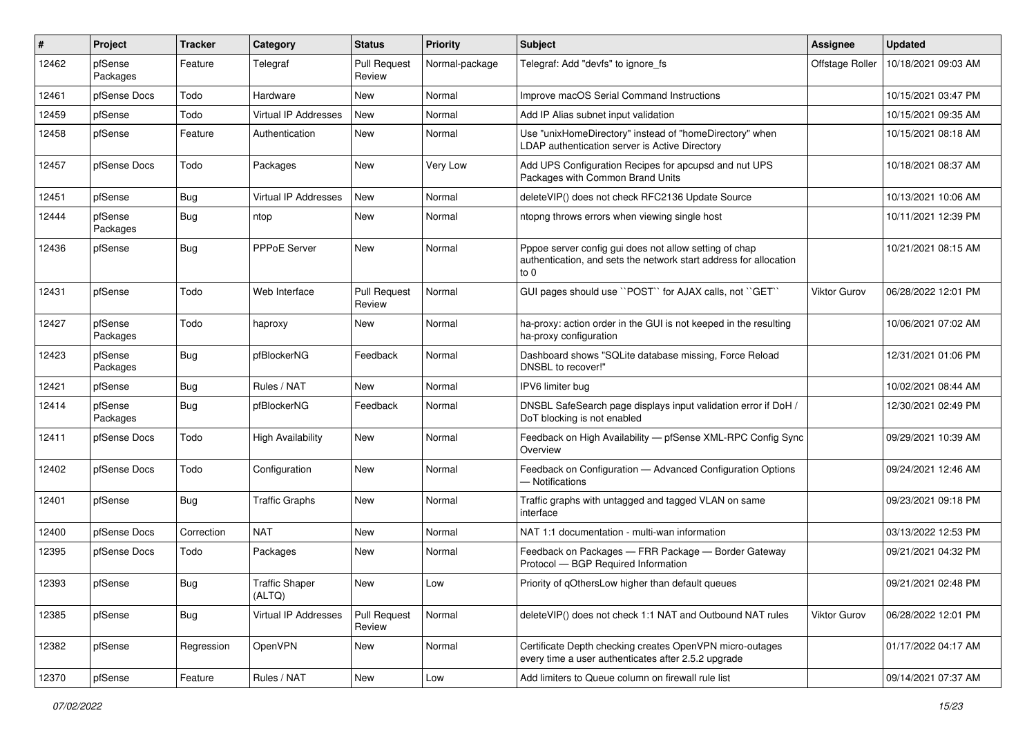| ∦     | Project             | <b>Tracker</b> | Category                        | <b>Status</b>                 | Priority        | Subject                                                                                                                                  | Assignee        | <b>Updated</b>      |
|-------|---------------------|----------------|---------------------------------|-------------------------------|-----------------|------------------------------------------------------------------------------------------------------------------------------------------|-----------------|---------------------|
| 12462 | pfSense<br>Packages | Feature        | Telegraf                        | <b>Pull Request</b><br>Review | Normal-package  | Telegraf: Add "devfs" to ignore fs                                                                                                       | Offstage Roller | 10/18/2021 09:03 AM |
| 12461 | pfSense Docs        | Todo           | Hardware                        | New                           | Normal          | Improve macOS Serial Command Instructions                                                                                                |                 | 10/15/2021 03:47 PM |
| 12459 | pfSense             | Todo           | Virtual IP Addresses            | New                           | Normal          | Add IP Alias subnet input validation                                                                                                     |                 | 10/15/2021 09:35 AM |
| 12458 | pfSense             | Feature        | Authentication                  | New                           | Normal          | Use "unixHomeDirectory" instead of "homeDirectory" when<br>LDAP authentication server is Active Directory                                |                 | 10/15/2021 08:18 AM |
| 12457 | pfSense Docs        | Todo           | Packages                        | New                           | <b>Very Low</b> | Add UPS Configuration Recipes for apcupsd and nut UPS<br>Packages with Common Brand Units                                                |                 | 10/18/2021 08:37 AM |
| 12451 | pfSense             | Bug            | Virtual IP Addresses            | New                           | Normal          | deleteVIP() does not check RFC2136 Update Source                                                                                         |                 | 10/13/2021 10:06 AM |
| 12444 | pfSense<br>Packages | Bug            | ntop                            | New                           | Normal          | ntopng throws errors when viewing single host                                                                                            |                 | 10/11/2021 12:39 PM |
| 12436 | pfSense             | Bug            | <b>PPPoE Server</b>             | New                           | Normal          | Pppoe server config gui does not allow setting of chap<br>authentication, and sets the network start address for allocation<br>$\circ$ 0 |                 | 10/21/2021 08:15 AM |
| 12431 | pfSense             | Todo           | Web Interface                   | Pull Request<br>Review        | Normal          | GUI pages should use "POST" for AJAX calls, not "GET"                                                                                    | Viktor Gurov    | 06/28/2022 12:01 PM |
| 12427 | pfSense<br>Packages | Todo           | haproxy                         | New                           | Normal          | ha-proxy: action order in the GUI is not keeped in the resulting<br>ha-proxy configuration                                               |                 | 10/06/2021 07:02 AM |
| 12423 | pfSense<br>Packages | <b>Bug</b>     | pfBlockerNG                     | Feedback                      | Normal          | Dashboard shows "SQLite database missing, Force Reload<br>DNSBL to recover!"                                                             |                 | 12/31/2021 01:06 PM |
| 12421 | pfSense             | Bug            | Rules / NAT                     | New                           | Normal          | IPV6 limiter bug                                                                                                                         |                 | 10/02/2021 08:44 AM |
| 12414 | pfSense<br>Packages | Bug            | pfBlockerNG                     | Feedback                      | Normal          | DNSBL SafeSearch page displays input validation error if DoH /<br>DoT blocking is not enabled                                            |                 | 12/30/2021 02:49 PM |
| 12411 | pfSense Docs        | Todo           | <b>High Availability</b>        | New                           | Normal          | Feedback on High Availability - pfSense XML-RPC Config Sync<br>Overview                                                                  |                 | 09/29/2021 10:39 AM |
| 12402 | pfSense Docs        | Todo           | Configuration                   | New                           | Normal          | Feedback on Configuration - Advanced Configuration Options<br>- Notifications                                                            |                 | 09/24/2021 12:46 AM |
| 12401 | pfSense             | Bug            | <b>Traffic Graphs</b>           | New                           | Normal          | Traffic graphs with untagged and tagged VLAN on same<br>interface                                                                        |                 | 09/23/2021 09:18 PM |
| 12400 | pfSense Docs        | Correction     | <b>NAT</b>                      | New                           | Normal          | NAT 1:1 documentation - multi-wan information                                                                                            |                 | 03/13/2022 12:53 PM |
| 12395 | pfSense Docs        | Todo           | Packages                        | New                           | Normal          | Feedback on Packages - FRR Package - Border Gateway<br>Protocol - BGP Required Information                                               |                 | 09/21/2021 04:32 PM |
| 12393 | pfSense             | Bug            | <b>Traffic Shaper</b><br>(ALTQ) | New                           | LOW             | Priority of qOthersLow higher than default queues                                                                                        |                 | 09/21/2021 02:48 PM |
| 12385 | pfSense             | <b>Bug</b>     | Virtual IP Addresses            | Pull Request<br>Review        | Normal          | deleteVIP() does not check 1:1 NAT and Outbound NAT rules                                                                                | Viktor Gurov    | 06/28/2022 12:01 PM |
| 12382 | pfSense             | Regression     | OpenVPN                         | New                           | Normal          | Certificate Depth checking creates OpenVPN micro-outages<br>every time a user authenticates after 2.5.2 upgrade                          |                 | 01/17/2022 04:17 AM |
| 12370 | pfSense             | Feature        | Rules / NAT                     | New                           | Low             | Add limiters to Queue column on firewall rule list                                                                                       |                 | 09/14/2021 07:37 AM |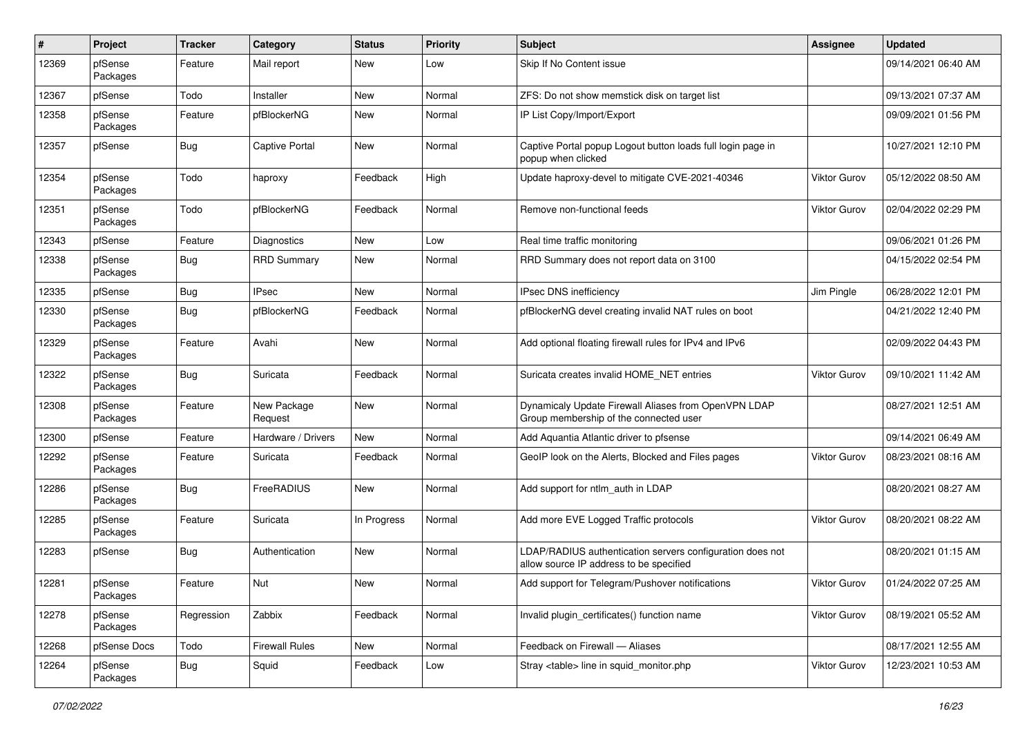| #     | Project             | <b>Tracker</b> | Category               | <b>Status</b> | <b>Priority</b> | <b>Subject</b>                                                                                       | Assignee            | <b>Updated</b>      |
|-------|---------------------|----------------|------------------------|---------------|-----------------|------------------------------------------------------------------------------------------------------|---------------------|---------------------|
| 12369 | pfSense<br>Packages | Feature        | Mail report            | New           | Low             | Skip If No Content issue                                                                             |                     | 09/14/2021 06:40 AM |
| 12367 | pfSense             | Todo           | Installer              | New           | Normal          | ZFS: Do not show memstick disk on target list                                                        |                     | 09/13/2021 07:37 AM |
| 12358 | pfSense<br>Packages | Feature        | pfBlockerNG            | New           | Normal          | IP List Copy/Import/Export                                                                           |                     | 09/09/2021 01:56 PM |
| 12357 | pfSense             | Bug            | <b>Captive Portal</b>  | New           | Normal          | Captive Portal popup Logout button loads full login page in<br>popup when clicked                    |                     | 10/27/2021 12:10 PM |
| 12354 | pfSense<br>Packages | Todo           | haproxy                | Feedback      | High            | Update haproxy-devel to mitigate CVE-2021-40346                                                      | <b>Viktor Gurov</b> | 05/12/2022 08:50 AM |
| 12351 | pfSense<br>Packages | Todo           | pfBlockerNG            | Feedback      | Normal          | Remove non-functional feeds                                                                          | Viktor Gurov        | 02/04/2022 02:29 PM |
| 12343 | pfSense             | Feature        | Diagnostics            | <b>New</b>    | Low             | Real time traffic monitoring                                                                         |                     | 09/06/2021 01:26 PM |
| 12338 | pfSense<br>Packages | Bug            | <b>RRD Summary</b>     | New           | Normal          | RRD Summary does not report data on 3100                                                             |                     | 04/15/2022 02:54 PM |
| 12335 | pfSense             | <b>Bug</b>     | <b>IPsec</b>           | New           | Normal          | IPsec DNS inefficiency                                                                               | Jim Pingle          | 06/28/2022 12:01 PM |
| 12330 | pfSense<br>Packages | <b>Bug</b>     | pfBlockerNG            | Feedback      | Normal          | pfBlockerNG devel creating invalid NAT rules on boot                                                 |                     | 04/21/2022 12:40 PM |
| 12329 | pfSense<br>Packages | Feature        | Avahi                  | New           | Normal          | Add optional floating firewall rules for IPv4 and IPv6                                               |                     | 02/09/2022 04:43 PM |
| 12322 | pfSense<br>Packages | Bug            | Suricata               | Feedback      | Normal          | Suricata creates invalid HOME_NET entries                                                            | Viktor Gurov        | 09/10/2021 11:42 AM |
| 12308 | pfSense<br>Packages | Feature        | New Package<br>Request | New           | Normal          | Dynamicaly Update Firewall Aliases from OpenVPN LDAP<br>Group membership of the connected user       |                     | 08/27/2021 12:51 AM |
| 12300 | pfSense             | Feature        | Hardware / Drivers     | New           | Normal          | Add Aquantia Atlantic driver to pfsense                                                              |                     | 09/14/2021 06:49 AM |
| 12292 | pfSense<br>Packages | Feature        | Suricata               | Feedback      | Normal          | GeoIP look on the Alerts, Blocked and Files pages                                                    | Viktor Gurov        | 08/23/2021 08:16 AM |
| 12286 | pfSense<br>Packages | Bug            | FreeRADIUS             | <b>New</b>    | Normal          | Add support for ntlm_auth in LDAP                                                                    |                     | 08/20/2021 08:27 AM |
| 12285 | pfSense<br>Packages | Feature        | Suricata               | In Progress   | Normal          | Add more EVE Logged Traffic protocols                                                                | Viktor Gurov        | 08/20/2021 08:22 AM |
| 12283 | pfSense             | Bug            | Authentication         | New           | Normal          | LDAP/RADIUS authentication servers configuration does not<br>allow source IP address to be specified |                     | 08/20/2021 01:15 AM |
| 12281 | pfSense<br>Packages | Feature        | Nut                    | New           | Normal          | Add support for Telegram/Pushover notifications                                                      | <b>Viktor Gurov</b> | 01/24/2022 07:25 AM |
| 12278 | pfSense<br>Packages | Regression     | Zabbix                 | Feedback      | Normal          | Invalid plugin_certificates() function name                                                          | Viktor Gurov        | 08/19/2021 05:52 AM |
| 12268 | pfSense Docs        | Todo           | <b>Firewall Rules</b>  | New           | Normal          | Feedback on Firewall - Aliases                                                                       |                     | 08/17/2021 12:55 AM |
| 12264 | pfSense<br>Packages | Bug            | Squid                  | Feedback      | Low             | Stray <table> line in squid_monitor.php</table>                                                      | Viktor Gurov        | 12/23/2021 10:53 AM |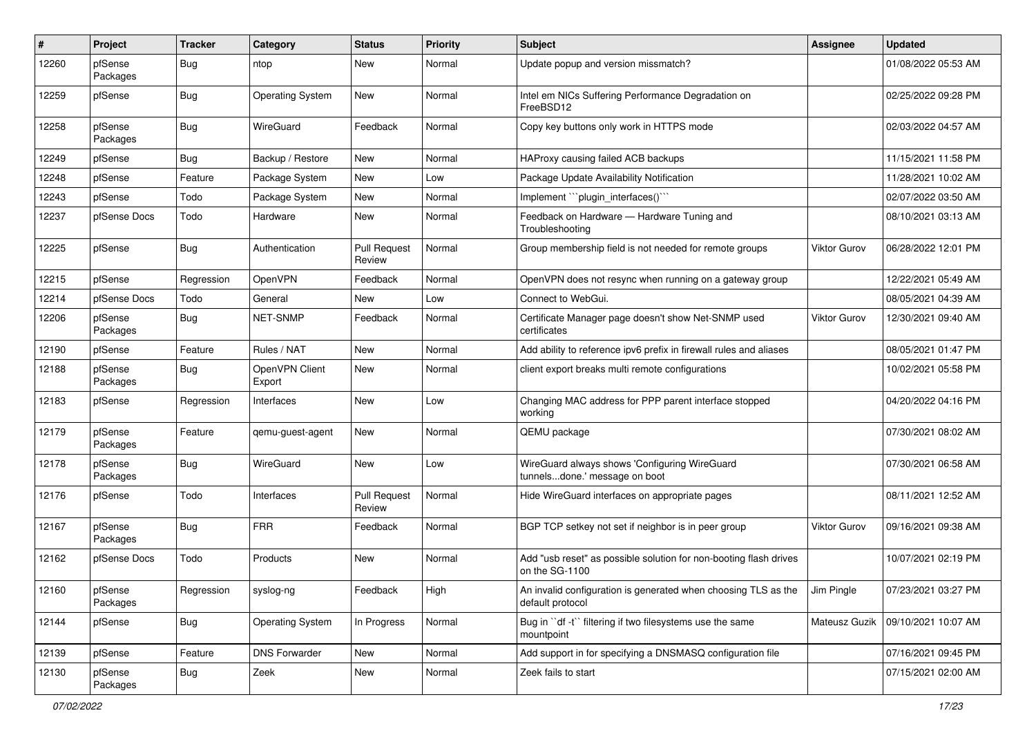| #     | Project             | <b>Tracker</b> | Category                 | <b>Status</b>                 | <b>Priority</b> | Subject                                                                             | <b>Assignee</b>     | <b>Updated</b>      |
|-------|---------------------|----------------|--------------------------|-------------------------------|-----------------|-------------------------------------------------------------------------------------|---------------------|---------------------|
| 12260 | pfSense<br>Packages | <b>Bug</b>     | ntop                     | New                           | Normal          | Update popup and version missmatch?                                                 |                     | 01/08/2022 05:53 AM |
| 12259 | pfSense             | <b>Bug</b>     | <b>Operating System</b>  | New                           | Normal          | Intel em NICs Suffering Performance Degradation on<br>FreeBSD12                     |                     | 02/25/2022 09:28 PM |
| 12258 | pfSense<br>Packages | <b>Bug</b>     | WireGuard                | Feedback                      | Normal          | Copy key buttons only work in HTTPS mode                                            |                     | 02/03/2022 04:57 AM |
| 12249 | pfSense             | Bug            | Backup / Restore         | New                           | Normal          | HAProxy causing failed ACB backups                                                  |                     | 11/15/2021 11:58 PM |
| 12248 | pfSense             | Feature        | Package System           | <b>New</b>                    | Low             | Package Update Availability Notification                                            |                     | 11/28/2021 10:02 AM |
| 12243 | pfSense             | Todo           | Package System           | New                           | Normal          | Implement "`plugin_interfaces()`"                                                   |                     | 02/07/2022 03:50 AM |
| 12237 | pfSense Docs        | Todo           | Hardware                 | New                           | Normal          | Feedback on Hardware - Hardware Tuning and<br>Troubleshooting                       |                     | 08/10/2021 03:13 AM |
| 12225 | pfSense             | <b>Bug</b>     | Authentication           | <b>Pull Request</b><br>Review | Normal          | Group membership field is not needed for remote groups                              | <b>Viktor Gurov</b> | 06/28/2022 12:01 PM |
| 12215 | pfSense             | Regression     | OpenVPN                  | Feedback                      | Normal          | OpenVPN does not resync when running on a gateway group                             |                     | 12/22/2021 05:49 AM |
| 12214 | pfSense Docs        | Todo           | General                  | New                           | Low             | Connect to WebGui.                                                                  |                     | 08/05/2021 04:39 AM |
| 12206 | pfSense<br>Packages | Bug            | <b>NET-SNMP</b>          | Feedback                      | Normal          | Certificate Manager page doesn't show Net-SNMP used<br>certificates                 | <b>Viktor Gurov</b> | 12/30/2021 09:40 AM |
| 12190 | pfSense             | Feature        | Rules / NAT              | New                           | Normal          | Add ability to reference ipv6 prefix in firewall rules and aliases                  |                     | 08/05/2021 01:47 PM |
| 12188 | pfSense<br>Packages | Bug            | OpenVPN Client<br>Export | New                           | Normal          | client export breaks multi remote configurations                                    |                     | 10/02/2021 05:58 PM |
| 12183 | pfSense             | Regression     | Interfaces               | <b>New</b>                    | Low             | Changing MAC address for PPP parent interface stopped<br>working                    |                     | 04/20/2022 04:16 PM |
| 12179 | pfSense<br>Packages | Feature        | qemu-guest-agent         | New                           | Normal          | QEMU package                                                                        |                     | 07/30/2021 08:02 AM |
| 12178 | pfSense<br>Packages | <b>Bug</b>     | WireGuard                | <b>New</b>                    | Low             | WireGuard always shows 'Configuring WireGuard<br>tunnelsdone.' message on boot      |                     | 07/30/2021 06:58 AM |
| 12176 | pfSense             | Todo           | Interfaces               | <b>Pull Request</b><br>Review | Normal          | Hide WireGuard interfaces on appropriate pages                                      |                     | 08/11/2021 12:52 AM |
| 12167 | pfSense<br>Packages | <b>Bug</b>     | <b>FRR</b>               | Feedback                      | Normal          | BGP TCP setkey not set if neighbor is in peer group                                 | Viktor Gurov        | 09/16/2021 09:38 AM |
| 12162 | pfSense Docs        | Todo           | Products                 | New                           | Normal          | Add "usb reset" as possible solution for non-booting flash drives<br>on the SG-1100 |                     | 10/07/2021 02:19 PM |
| 12160 | pfSense<br>Packages | Regression     | syslog-ng                | Feedback                      | High            | An invalid configuration is generated when choosing TLS as the<br>default protocol  | Jim Pingle          | 07/23/2021 03:27 PM |
| 12144 | pfSense             | Bug            | <b>Operating System</b>  | In Progress                   | Normal          | Bug in "df -t" filtering if two filesystems use the same<br>mountpoint              | Mateusz Guzik       | 09/10/2021 10:07 AM |
| 12139 | pfSense             | Feature        | <b>DNS Forwarder</b>     | New                           | Normal          | Add support in for specifying a DNSMASQ configuration file                          |                     | 07/16/2021 09:45 PM |
| 12130 | pfSense<br>Packages | <b>Bug</b>     | Zeek                     | New                           | Normal          | Zeek fails to start                                                                 |                     | 07/15/2021 02:00 AM |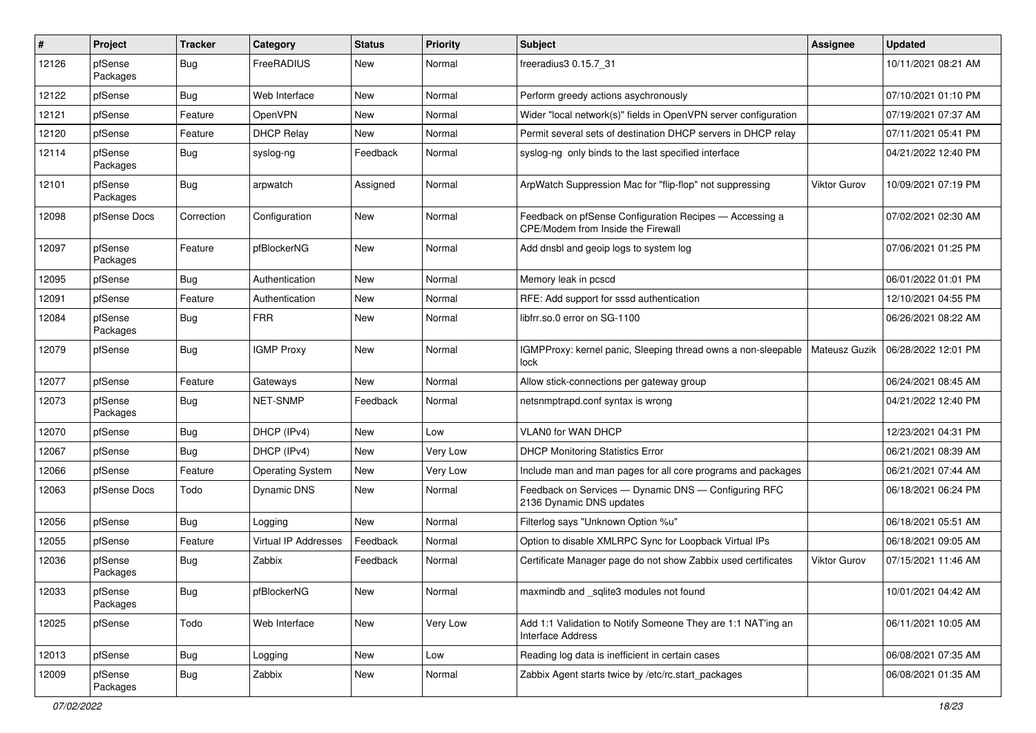| $\vert$ # | Project             | <b>Tracker</b> | Category                | <b>Status</b> | <b>Priority</b> | Subject                                                                                       | Assignee            | <b>Updated</b>      |
|-----------|---------------------|----------------|-------------------------|---------------|-----------------|-----------------------------------------------------------------------------------------------|---------------------|---------------------|
| 12126     | pfSense<br>Packages | Bug            | FreeRADIUS              | New           | Normal          | freeradius3 0.15.7 31                                                                         |                     | 10/11/2021 08:21 AM |
| 12122     | pfSense             | Bug            | Web Interface           | New           | Normal          | Perform greedy actions asychronously                                                          |                     | 07/10/2021 01:10 PM |
| 12121     | pfSense             | Feature        | OpenVPN                 | New           | Normal          | Wider "local network(s)" fields in OpenVPN server configuration                               |                     | 07/19/2021 07:37 AM |
| 12120     | pfSense             | Feature        | <b>DHCP Relay</b>       | New           | Normal          | Permit several sets of destination DHCP servers in DHCP relay                                 |                     | 07/11/2021 05:41 PM |
| 12114     | pfSense<br>Packages | Bug            | syslog-ng               | Feedback      | Normal          | syslog-ng only binds to the last specified interface                                          |                     | 04/21/2022 12:40 PM |
| 12101     | pfSense<br>Packages | Bug            | arpwatch                | Assigned      | Normal          | ArpWatch Suppression Mac for "flip-flop" not suppressing                                      | <b>Viktor Gurov</b> | 10/09/2021 07:19 PM |
| 12098     | pfSense Docs        | Correction     | Configuration           | New           | Normal          | Feedback on pfSense Configuration Recipes - Accessing a<br>CPE/Modem from Inside the Firewall |                     | 07/02/2021 02:30 AM |
| 12097     | pfSense<br>Packages | Feature        | pfBlockerNG             | New           | Normal          | Add dnsbl and geoip logs to system log                                                        |                     | 07/06/2021 01:25 PM |
| 12095     | pfSense             | Bug            | Authentication          | New           | Normal          | Memory leak in pcscd                                                                          |                     | 06/01/2022 01:01 PM |
| 12091     | pfSense             | Feature        | Authentication          | New           | Normal          | RFE: Add support for sssd authentication                                                      |                     | 12/10/2021 04:55 PM |
| 12084     | pfSense<br>Packages | Bug            | <b>FRR</b>              | New           | Normal          | libfrr.so.0 error on SG-1100                                                                  |                     | 06/26/2021 08:22 AM |
| 12079     | pfSense             | Bug            | <b>IGMP Proxy</b>       | New           | Normal          | IGMPProxy: kernel panic, Sleeping thread owns a non-sleepable<br>lock                         | Mateusz Guzik       | 06/28/2022 12:01 PM |
| 12077     | pfSense             | Feature        | Gateways                | New           | Normal          | Allow stick-connections per gateway group                                                     |                     | 06/24/2021 08:45 AM |
| 12073     | pfSense<br>Packages | Bug            | <b>NET-SNMP</b>         | Feedback      | Normal          | netsnmptrapd.conf syntax is wrong                                                             |                     | 04/21/2022 12:40 PM |
| 12070     | pfSense             | Bug            | DHCP (IPv4)             | New           | Low             | <b>VLAN0 for WAN DHCP</b>                                                                     |                     | 12/23/2021 04:31 PM |
| 12067     | pfSense             | Bug            | DHCP (IPv4)             | New           | Very Low        | <b>DHCP Monitoring Statistics Error</b>                                                       |                     | 06/21/2021 08:39 AM |
| 12066     | pfSense             | Feature        | <b>Operating System</b> | New           | Very Low        | Include man and man pages for all core programs and packages                                  |                     | 06/21/2021 07:44 AM |
| 12063     | pfSense Docs        | Todo           | Dynamic DNS             | New           | Normal          | Feedback on Services - Dynamic DNS - Configuring RFC<br>2136 Dynamic DNS updates              |                     | 06/18/2021 06:24 PM |
| 12056     | pfSense             | Bug            | Logging                 | New           | Normal          | Filterlog says "Unknown Option %u"                                                            |                     | 06/18/2021 05:51 AM |
| 12055     | pfSense             | Feature        | Virtual IP Addresses    | Feedback      | Normal          | Option to disable XMLRPC Sync for Loopback Virtual IPs                                        |                     | 06/18/2021 09:05 AM |
| 12036     | pfSense<br>Packages | Bug            | Zabbix                  | Feedback      | Normal          | Certificate Manager page do not show Zabbix used certificates                                 | Viktor Gurov        | 07/15/2021 11:46 AM |
| 12033     | pfSense<br>Packages | Bug            | pfBlockerNG             | New           | Normal          | maxmindb and _sqlite3 modules not found                                                       |                     | 10/01/2021 04:42 AM |
| 12025     | pfSense             | Todo           | Web Interface           | New           | Very Low        | Add 1:1 Validation to Notify Someone They are 1:1 NAT'ing an<br><b>Interface Address</b>      |                     | 06/11/2021 10:05 AM |
| 12013     | pfSense             | <b>Bug</b>     | Logging                 | New           | Low             | Reading log data is inefficient in certain cases                                              |                     | 06/08/2021 07:35 AM |
| 12009     | pfSense<br>Packages | Bug            | Zabbix                  | New           | Normal          | Zabbix Agent starts twice by /etc/rc.start packages                                           |                     | 06/08/2021 01:35 AM |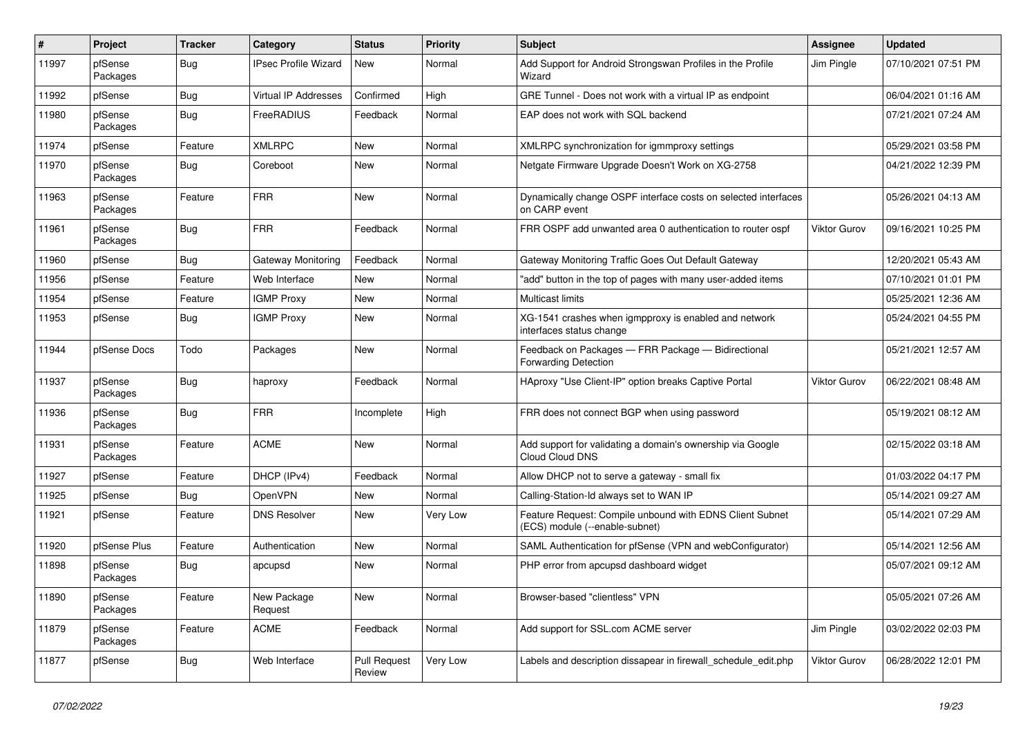| #     | Project             | <b>Tracker</b> | Category                    | <b>Status</b>                 | <b>Priority</b> | <b>Subject</b>                                                                             | Assignee            | <b>Updated</b>      |
|-------|---------------------|----------------|-----------------------------|-------------------------------|-----------------|--------------------------------------------------------------------------------------------|---------------------|---------------------|
| 11997 | pfSense<br>Packages | Bug            | <b>IPsec Profile Wizard</b> | New                           | Normal          | Add Support for Android Strongswan Profiles in the Profile<br>Wizard                       | Jim Pingle          | 07/10/2021 07:51 PM |
| 11992 | pfSense             | Bug            | Virtual IP Addresses        | Confirmed                     | High            | GRE Tunnel - Does not work with a virtual IP as endpoint                                   |                     | 06/04/2021 01:16 AM |
| 11980 | pfSense<br>Packages | Bug            | FreeRADIUS                  | Feedback                      | Normal          | EAP does not work with SQL backend                                                         |                     | 07/21/2021 07:24 AM |
| 11974 | pfSense             | Feature        | <b>XMLRPC</b>               | New                           | Normal          | XMLRPC synchronization for igmmproxy settings                                              |                     | 05/29/2021 03:58 PM |
| 11970 | pfSense<br>Packages | <b>Bug</b>     | Coreboot                    | New                           | Normal          | Netgate Firmware Upgrade Doesn't Work on XG-2758                                           |                     | 04/21/2022 12:39 PM |
| 11963 | pfSense<br>Packages | Feature        | <b>FRR</b>                  | New                           | Normal          | Dynamically change OSPF interface costs on selected interfaces<br>on CARP event            |                     | 05/26/2021 04:13 AM |
| 11961 | pfSense<br>Packages | Bug            | <b>FRR</b>                  | Feedback                      | Normal          | FRR OSPF add unwanted area 0 authentication to router ospf                                 | Viktor Gurov        | 09/16/2021 10:25 PM |
| 11960 | pfSense             | Bug            | <b>Gateway Monitoring</b>   | Feedback                      | Normal          | Gateway Monitoring Traffic Goes Out Default Gateway                                        |                     | 12/20/2021 05:43 AM |
| 11956 | pfSense             | Feature        | Web Interface               | New                           | Normal          | "add" button in the top of pages with many user-added items                                |                     | 07/10/2021 01:01 PM |
| 11954 | pfSense             | Feature        | <b>IGMP Proxy</b>           | New                           | Normal          | Multicast limits                                                                           |                     | 05/25/2021 12:36 AM |
| 11953 | pfSense             | Bug            | <b>IGMP Proxy</b>           | <b>New</b>                    | Normal          | XG-1541 crashes when igmpproxy is enabled and network<br>interfaces status change          |                     | 05/24/2021 04:55 PM |
| 11944 | pfSense Docs        | Todo           | Packages                    | <b>New</b>                    | Normal          | Feedback on Packages - FRR Package - Bidirectional<br><b>Forwarding Detection</b>          |                     | 05/21/2021 12:57 AM |
| 11937 | pfSense<br>Packages | Bug            | haproxy                     | Feedback                      | Normal          | HAproxy "Use Client-IP" option breaks Captive Portal                                       | <b>Viktor Gurov</b> | 06/22/2021 08:48 AM |
| 11936 | pfSense<br>Packages | Bug            | <b>FRR</b>                  | Incomplete                    | High            | FRR does not connect BGP when using password                                               |                     | 05/19/2021 08:12 AM |
| 11931 | pfSense<br>Packages | Feature        | <b>ACME</b>                 | New                           | Normal          | Add support for validating a domain's ownership via Google<br>Cloud Cloud DNS              |                     | 02/15/2022 03:18 AM |
| 11927 | pfSense             | Feature        | DHCP (IPv4)                 | Feedback                      | Normal          | Allow DHCP not to serve a gateway - small fix                                              |                     | 01/03/2022 04:17 PM |
| 11925 | pfSense             | Bug            | OpenVPN                     | <b>New</b>                    | Normal          | Calling-Station-Id always set to WAN IP                                                    |                     | 05/14/2021 09:27 AM |
| 11921 | pfSense             | Feature        | <b>DNS Resolver</b>         | New                           | Very Low        | Feature Request: Compile unbound with EDNS Client Subnet<br>(ECS) module (--enable-subnet) |                     | 05/14/2021 07:29 AM |
| 11920 | pfSense Plus        | Feature        | Authentication              | New                           | Normal          | SAML Authentication for pfSense (VPN and webConfigurator)                                  |                     | 05/14/2021 12:56 AM |
| 11898 | pfSense<br>Packages | Bug            | apcupsd                     | New                           | Normal          | PHP error from apcupsd dashboard widget                                                    |                     | 05/07/2021 09:12 AM |
| 11890 | pfSense<br>Packages | Feature        | New Package<br>Request      | New                           | Normal          | Browser-based "clientless" VPN                                                             |                     | 05/05/2021 07:26 AM |
| 11879 | pfSense<br>Packages | Feature        | <b>ACME</b>                 | Feedback                      | Normal          | Add support for SSL.com ACME server                                                        | Jim Pingle          | 03/02/2022 02:03 PM |
| 11877 | pfSense             | <b>Bug</b>     | Web Interface               | <b>Pull Request</b><br>Review | Very Low        | Labels and description dissapear in firewall_schedule_edit.php                             | <b>Viktor Gurov</b> | 06/28/2022 12:01 PM |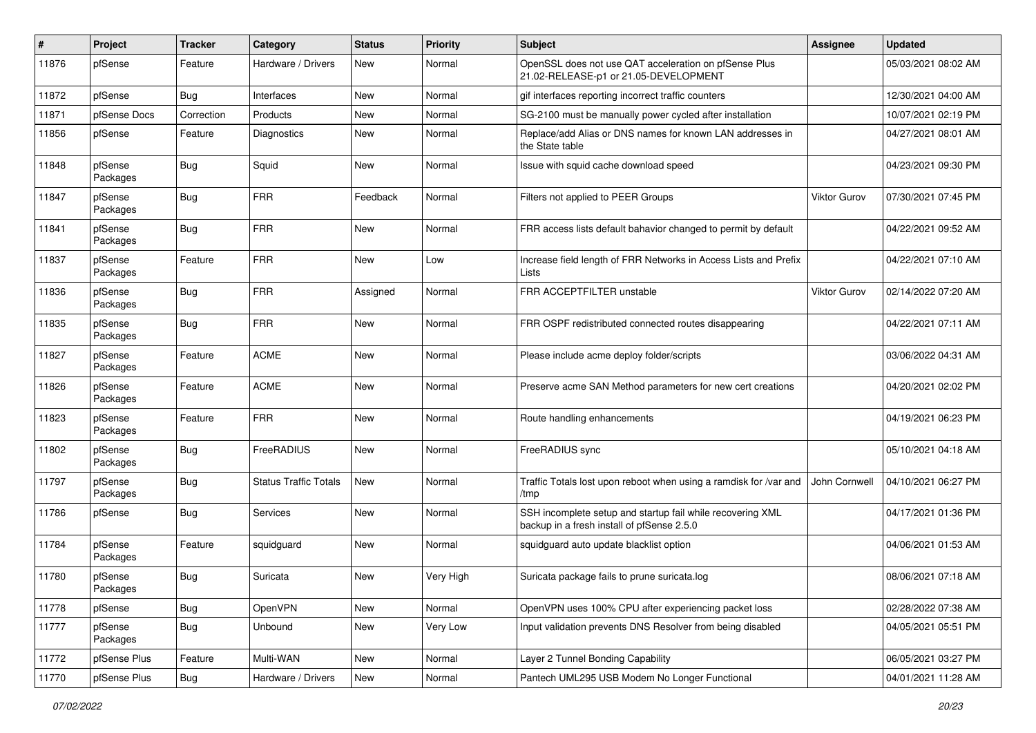| #     | Project             | <b>Tracker</b> | Category                     | <b>Status</b> | <b>Priority</b> | <b>Subject</b>                                                                                           | Assignee      | <b>Updated</b>      |
|-------|---------------------|----------------|------------------------------|---------------|-----------------|----------------------------------------------------------------------------------------------------------|---------------|---------------------|
| 11876 | pfSense             | Feature        | Hardware / Drivers           | New           | Normal          | OpenSSL does not use QAT acceleration on pfSense Plus<br>21.02-RELEASE-p1 or 21.05-DEVELOPMENT           |               | 05/03/2021 08:02 AM |
| 11872 | pfSense             | Bug            | Interfaces                   | New           | Normal          | gif interfaces reporting incorrect traffic counters                                                      |               | 12/30/2021 04:00 AM |
| 11871 | pfSense Docs        | Correction     | Products                     | New           | Normal          | SG-2100 must be manually power cycled after installation                                                 |               | 10/07/2021 02:19 PM |
| 11856 | pfSense             | Feature        | Diagnostics                  | New           | Normal          | Replace/add Alias or DNS names for known LAN addresses in<br>the State table                             |               | 04/27/2021 08:01 AM |
| 11848 | pfSense<br>Packages | Bug            | Squid                        | New           | Normal          | Issue with squid cache download speed                                                                    |               | 04/23/2021 09:30 PM |
| 11847 | pfSense<br>Packages | Bug            | <b>FRR</b>                   | Feedback      | Normal          | Filters not applied to PEER Groups                                                                       | Viktor Gurov  | 07/30/2021 07:45 PM |
| 11841 | pfSense<br>Packages | Bug            | <b>FRR</b>                   | New           | Normal          | FRR access lists default bahavior changed to permit by default                                           |               | 04/22/2021 09:52 AM |
| 11837 | pfSense<br>Packages | Feature        | <b>FRR</b>                   | New           | Low             | Increase field length of FRR Networks in Access Lists and Prefix<br>Lists                                |               | 04/22/2021 07:10 AM |
| 11836 | pfSense<br>Packages | Bug            | <b>FRR</b>                   | Assigned      | Normal          | FRR ACCEPTFILTER unstable                                                                                | Viktor Gurov  | 02/14/2022 07:20 AM |
| 11835 | pfSense<br>Packages | Bug            | <b>FRR</b>                   | New           | Normal          | FRR OSPF redistributed connected routes disappearing                                                     |               | 04/22/2021 07:11 AM |
| 11827 | pfSense<br>Packages | Feature        | <b>ACME</b>                  | <b>New</b>    | Normal          | Please include acme deploy folder/scripts                                                                |               | 03/06/2022 04:31 AM |
| 11826 | pfSense<br>Packages | Feature        | <b>ACME</b>                  | New           | Normal          | Preserve acme SAN Method parameters for new cert creations                                               |               | 04/20/2021 02:02 PM |
| 11823 | pfSense<br>Packages | Feature        | <b>FRR</b>                   | New           | Normal          | Route handling enhancements                                                                              |               | 04/19/2021 06:23 PM |
| 11802 | pfSense<br>Packages | Bug            | FreeRADIUS                   | <b>New</b>    | Normal          | FreeRADIUS sync                                                                                          |               | 05/10/2021 04:18 AM |
| 11797 | pfSense<br>Packages | <b>Bug</b>     | <b>Status Traffic Totals</b> | New           | Normal          | Traffic Totals lost upon reboot when using a ramdisk for /var and<br>/tmp                                | John Cornwell | 04/10/2021 06:27 PM |
| 11786 | pfSense             | <b>Bug</b>     | Services                     | New           | Normal          | SSH incomplete setup and startup fail while recovering XML<br>backup in a fresh install of pfSense 2.5.0 |               | 04/17/2021 01:36 PM |
| 11784 | pfSense<br>Packages | Feature        | squidguard                   | New           | Normal          | squidguard auto update blacklist option                                                                  |               | 04/06/2021 01:53 AM |
| 11780 | pfSense<br>Packages | Bug            | Suricata                     | New           | Very High       | Suricata package fails to prune suricata.log                                                             |               | 08/06/2021 07:18 AM |
| 11778 | pfSense             | <b>Bug</b>     | OpenVPN                      | New           | Normal          | OpenVPN uses 100% CPU after experiencing packet loss                                                     |               | 02/28/2022 07:38 AM |
| 11777 | pfSense<br>Packages | <b>Bug</b>     | Unbound                      | New           | Very Low        | Input validation prevents DNS Resolver from being disabled                                               |               | 04/05/2021 05:51 PM |
| 11772 | pfSense Plus        | Feature        | Multi-WAN                    | New           | Normal          | Layer 2 Tunnel Bonding Capability                                                                        |               | 06/05/2021 03:27 PM |
| 11770 | pfSense Plus        | Bug            | Hardware / Drivers           | New           | Normal          | Pantech UML295 USB Modem No Longer Functional                                                            |               | 04/01/2021 11:28 AM |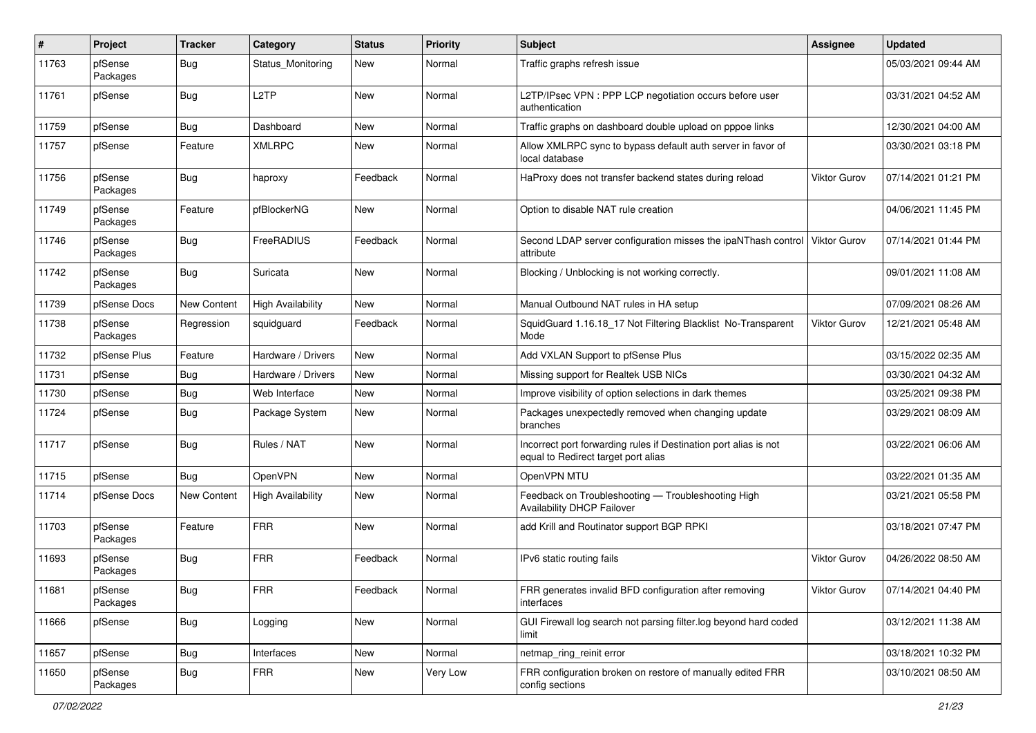| #     | Project             | <b>Tracker</b>     | Category                 | <b>Status</b> | <b>Priority</b> | <b>Subject</b>                                                                                          | Assignee            | <b>Updated</b>      |
|-------|---------------------|--------------------|--------------------------|---------------|-----------------|---------------------------------------------------------------------------------------------------------|---------------------|---------------------|
| 11763 | pfSense<br>Packages | Bug                | Status Monitoring        | New           | Normal          | Traffic graphs refresh issue                                                                            |                     | 05/03/2021 09:44 AM |
| 11761 | pfSense             | Bug                | L <sub>2</sub> TP        | New           | Normal          | L2TP/IPsec VPN : PPP LCP negotiation occurs before user<br>authentication                               |                     | 03/31/2021 04:52 AM |
| 11759 | pfSense             | Bug                | Dashboard                | <b>New</b>    | Normal          | Traffic graphs on dashboard double upload on pppoe links                                                |                     | 12/30/2021 04:00 AM |
| 11757 | pfSense             | Feature            | <b>XMLRPC</b>            | New           | Normal          | Allow XMLRPC sync to bypass default auth server in favor of<br>local database                           |                     | 03/30/2021 03:18 PM |
| 11756 | pfSense<br>Packages | <b>Bug</b>         | haproxy                  | Feedback      | Normal          | HaProxy does not transfer backend states during reload                                                  | Viktor Gurov        | 07/14/2021 01:21 PM |
| 11749 | pfSense<br>Packages | Feature            | pfBlockerNG              | New           | Normal          | Option to disable NAT rule creation                                                                     |                     | 04/06/2021 11:45 PM |
| 11746 | pfSense<br>Packages | Bug                | FreeRADIUS               | Feedback      | Normal          | Second LDAP server configuration misses the ipaNThash control<br>attribute                              | <b>Viktor Gurov</b> | 07/14/2021 01:44 PM |
| 11742 | pfSense<br>Packages | Bug                | Suricata                 | <b>New</b>    | Normal          | Blocking / Unblocking is not working correctly.                                                         |                     | 09/01/2021 11:08 AM |
| 11739 | pfSense Docs        | <b>New Content</b> | <b>High Availability</b> | New           | Normal          | Manual Outbound NAT rules in HA setup                                                                   |                     | 07/09/2021 08:26 AM |
| 11738 | pfSense<br>Packages | Regression         | squidguard               | Feedback      | Normal          | SquidGuard 1.16.18_17 Not Filtering Blacklist No-Transparent<br>Mode                                    | <b>Viktor Gurov</b> | 12/21/2021 05:48 AM |
| 11732 | pfSense Plus        | Feature            | Hardware / Drivers       | <b>New</b>    | Normal          | Add VXLAN Support to pfSense Plus                                                                       |                     | 03/15/2022 02:35 AM |
| 11731 | pfSense             | Bug                | Hardware / Drivers       | New           | Normal          | Missing support for Realtek USB NICs                                                                    |                     | 03/30/2021 04:32 AM |
| 11730 | pfSense             | Bug                | Web Interface            | <b>New</b>    | Normal          | Improve visibility of option selections in dark themes                                                  |                     | 03/25/2021 09:38 PM |
| 11724 | pfSense             | Bug                | Package System           | New           | Normal          | Packages unexpectedly removed when changing update<br>branches                                          |                     | 03/29/2021 08:09 AM |
| 11717 | pfSense             | Bug                | Rules / NAT              | <b>New</b>    | Normal          | Incorrect port forwarding rules if Destination port alias is not<br>equal to Redirect target port alias |                     | 03/22/2021 06:06 AM |
| 11715 | pfSense             | Bug                | OpenVPN                  | <b>New</b>    | Normal          | OpenVPN MTU                                                                                             |                     | 03/22/2021 01:35 AM |
| 11714 | pfSense Docs        | New Content        | <b>High Availability</b> | <b>New</b>    | Normal          | Feedback on Troubleshooting - Troubleshooting High<br><b>Availability DHCP Failover</b>                 |                     | 03/21/2021 05:58 PM |
| 11703 | pfSense<br>Packages | Feature            | <b>FRR</b>               | <b>New</b>    | Normal          | add Krill and Routinator support BGP RPKI                                                               |                     | 03/18/2021 07:47 PM |
| 11693 | pfSense<br>Packages | Bug                | <b>FRR</b>               | Feedback      | Normal          | IPv6 static routing fails                                                                               | <b>Viktor Gurov</b> | 04/26/2022 08:50 AM |
| 11681 | pfSense<br>Packages | Bug                | <b>FRR</b>               | Feedback      | Normal          | FRR generates invalid BFD configuration after removing<br>interfaces                                    | Viktor Gurov        | 07/14/2021 04:40 PM |
| 11666 | pfSense             | <b>Bug</b>         | Logging                  | New           | Normal          | GUI Firewall log search not parsing filter.log beyond hard coded<br>limit                               |                     | 03/12/2021 11:38 AM |
| 11657 | pfSense             | <b>Bug</b>         | Interfaces               | New           | Normal          | netmap_ring_reinit error                                                                                |                     | 03/18/2021 10:32 PM |
| 11650 | pfSense<br>Packages | Bug                | <b>FRR</b>               | New           | Very Low        | FRR configuration broken on restore of manually edited FRR<br>config sections                           |                     | 03/10/2021 08:50 AM |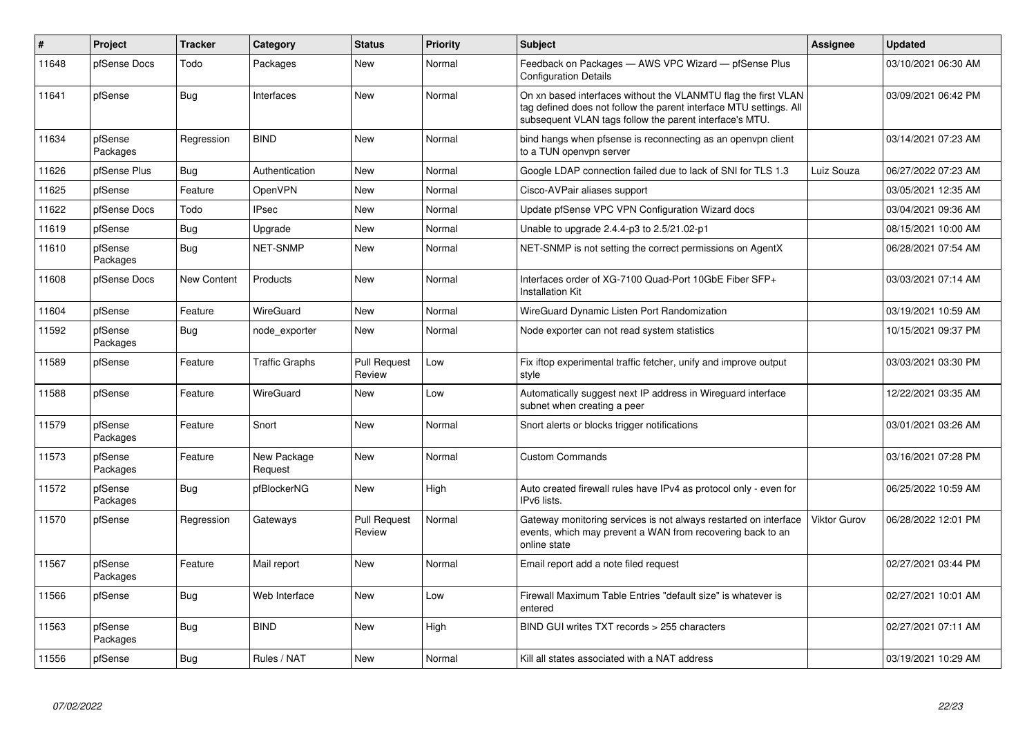| $\vert$ # | Project             | <b>Tracker</b> | Category               | <b>Status</b>                 | <b>Priority</b> | <b>Subject</b>                                                                                                                                                                                  | Assignee            | <b>Updated</b>      |
|-----------|---------------------|----------------|------------------------|-------------------------------|-----------------|-------------------------------------------------------------------------------------------------------------------------------------------------------------------------------------------------|---------------------|---------------------|
| 11648     | pfSense Docs        | Todo           | Packages               | New                           | Normal          | Feedback on Packages - AWS VPC Wizard - pfSense Plus<br><b>Configuration Details</b>                                                                                                            |                     | 03/10/2021 06:30 AM |
| 11641     | pfSense             | Bug            | Interfaces             | New                           | Normal          | On xn based interfaces without the VLANMTU flag the first VLAN<br>tag defined does not follow the parent interface MTU settings. All<br>subsequent VLAN tags follow the parent interface's MTU. |                     | 03/09/2021 06:42 PM |
| 11634     | pfSense<br>Packages | Regression     | <b>BIND</b>            | New                           | Normal          | bind hangs when pfsense is reconnecting as an openypn client<br>to a TUN openvpn server                                                                                                         |                     | 03/14/2021 07:23 AM |
| 11626     | pfSense Plus        | <b>Bug</b>     | Authentication         | New                           | Normal          | Google LDAP connection failed due to lack of SNI for TLS 1.3                                                                                                                                    | Luiz Souza          | 06/27/2022 07:23 AM |
| 11625     | pfSense             | Feature        | OpenVPN                | <b>New</b>                    | Normal          | Cisco-AVPair aliases support                                                                                                                                                                    |                     | 03/05/2021 12:35 AM |
| 11622     | pfSense Docs        | Todo           | <b>IPsec</b>           | New                           | Normal          | Update pfSense VPC VPN Configuration Wizard docs                                                                                                                                                |                     | 03/04/2021 09:36 AM |
| 11619     | pfSense             | <b>Bug</b>     | Upgrade                | New                           | Normal          | Unable to upgrade 2.4.4-p3 to 2.5/21.02-p1                                                                                                                                                      |                     | 08/15/2021 10:00 AM |
| 11610     | pfSense<br>Packages | <b>Bug</b>     | <b>NET-SNMP</b>        | New                           | Normal          | NET-SNMP is not setting the correct permissions on AgentX                                                                                                                                       |                     | 06/28/2021 07:54 AM |
| 11608     | pfSense Docs        | New Content    | Products               | New                           | Normal          | Interfaces order of XG-7100 Quad-Port 10GbE Fiber SFP+<br><b>Installation Kit</b>                                                                                                               |                     | 03/03/2021 07:14 AM |
| 11604     | pfSense             | Feature        | WireGuard              | New                           | Normal          | WireGuard Dynamic Listen Port Randomization                                                                                                                                                     |                     | 03/19/2021 10:59 AM |
| 11592     | pfSense<br>Packages | Bug            | node exporter          | New                           | Normal          | Node exporter can not read system statistics                                                                                                                                                    |                     | 10/15/2021 09:37 PM |
| 11589     | pfSense             | Feature        | <b>Traffic Graphs</b>  | <b>Pull Request</b><br>Review | Low             | Fix iftop experimental traffic fetcher, unify and improve output<br>style                                                                                                                       |                     | 03/03/2021 03:30 PM |
| 11588     | pfSense             | Feature        | WireGuard              | New                           | Low             | Automatically suggest next IP address in Wireguard interface<br>subnet when creating a peer                                                                                                     |                     | 12/22/2021 03:35 AM |
| 11579     | pfSense<br>Packages | Feature        | Snort                  | New                           | Normal          | Snort alerts or blocks trigger notifications                                                                                                                                                    |                     | 03/01/2021 03:26 AM |
| 11573     | pfSense<br>Packages | Feature        | New Package<br>Request | New                           | Normal          | <b>Custom Commands</b>                                                                                                                                                                          |                     | 03/16/2021 07:28 PM |
| 11572     | pfSense<br>Packages | Bug            | pfBlockerNG            | New                           | High            | Auto created firewall rules have IPv4 as protocol only - even for<br>IPv6 lists.                                                                                                                |                     | 06/25/2022 10:59 AM |
| 11570     | pfSense             | Regression     | Gateways               | <b>Pull Request</b><br>Review | Normal          | Gateway monitoring services is not always restarted on interface<br>events, which may prevent a WAN from recovering back to an<br>online state                                                  | <b>Viktor Gurov</b> | 06/28/2022 12:01 PM |
| 11567     | pfSense<br>Packages | Feature        | Mail report            | New                           | Normal          | Email report add a note filed request                                                                                                                                                           |                     | 02/27/2021 03:44 PM |
| 11566     | pfSense             | Bug            | Web Interface          | New                           | Low             | Firewall Maximum Table Entries "default size" is whatever is<br>entered                                                                                                                         |                     | 02/27/2021 10:01 AM |
| 11563     | pfSense<br>Packages | <b>Bug</b>     | <b>BIND</b>            | New                           | High            | BIND GUI writes TXT records > 255 characters                                                                                                                                                    |                     | 02/27/2021 07:11 AM |
| 11556     | pfSense             | Bug            | Rules / NAT            | New                           | Normal          | Kill all states associated with a NAT address                                                                                                                                                   |                     | 03/19/2021 10:29 AM |